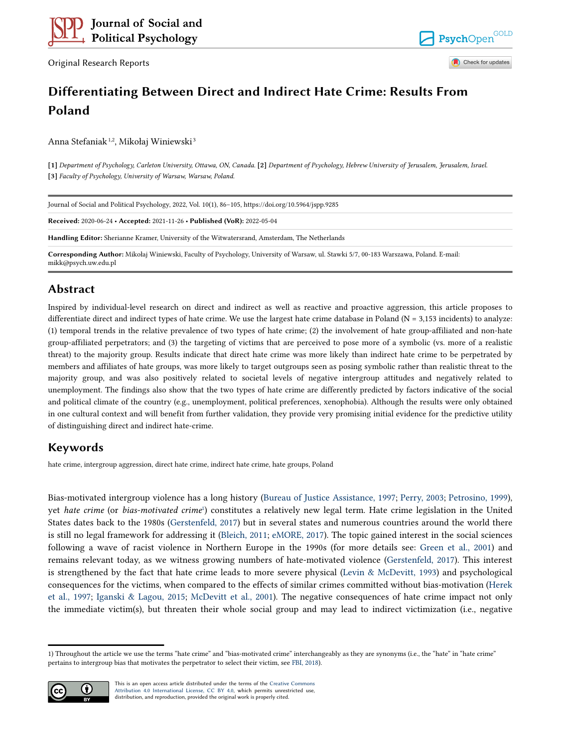Original Research Reports

PsychOpen Check for updates

**GOLD** 

# **Differentiating Between Direct and Indirect Hate Crime: Results From Poland**

Anna Stefaniak<sup>1,2</sup>, Mikołaj Winiewski<sup>3</sup>

**[1]** *Department of Psychology, Carleton University, Ottawa, ON, Canada.* **[2]** *Department of Psychology, Hebrew University of Jerusalem, Jerusalem, Israel.*  **[3]** *Faculty of Psychology, University of Warsaw, Warsaw, Poland.* 

| Journal of Social and Political Psychology, 2022, Vol. 10(1), 86-105, https://doi.org/10.5964/jspp.9285                                                        |
|----------------------------------------------------------------------------------------------------------------------------------------------------------------|
| Received: 2020-06-24 • Accepted: 2021-11-26 • Published (VoR): 2022-05-04                                                                                      |
| <b>Handling Editor:</b> Sherianne Kramer, University of the Witwatersrand, Amsterdam, The Netherlands                                                          |
| Corresponding Author: Mikołaj Winiewski, Faculty of Psychology, University of Warsaw, ul. Stawki 5/7, 00-183 Warszawa, Poland. E-mail:<br>mikk@psych.uw.edu.pl |

## **Abstract**

Inspired by individual-level research on direct and indirect as well as reactive and proactive aggression, this article proposes to differentiate direct and indirect types of hate crime. We use the largest hate crime database in Poland ( $N = 3,153$  incidents) to analyze: (1) temporal trends in the relative prevalence of two types of hate crime; (2) the involvement of hate group-affiliated and non-hate group-affiliated perpetrators; and (3) the targeting of victims that are perceived to pose more of a symbolic (vs. more of a realistic threat) to the majority group. Results indicate that direct hate crime was more likely than indirect hate crime to be perpetrated by members and affiliates of hate groups, was more likely to target outgroups seen as posing symbolic rather than realistic threat to the majority group, and was also positively related to societal levels of negative intergroup attitudes and negatively related to unemployment. The findings also show that the two types of hate crime are differently predicted by factors indicative of the social and political climate of the country (e.g., unemployment, political preferences, xenophobia). Although the results were only obtained in one cultural context and will benefit from further validation, they provide very promising initial evidence for the predictive utility of distinguishing direct and indirect hate-crime.

## **Keywords**

hate crime, intergroup aggression, direct hate crime, indirect hate crime, hate groups, Poland

Bias-motivated intergroup violence has a long history ([Bureau of Justice Assistance, 1997](#page-15-0); [Perry, 2003](#page-18-0); [Petrosino, 1999](#page-18-0)), yet *hate crime* (or *bias-motivated crime*<sup>1</sup> ) constitutes a relatively new legal term. Hate crime legislation in the United States dates back to the 1980s ([Gerstenfeld, 2017](#page-16-0)) but in several states and numerous countries around the world there is still no legal framework for addressing it ([Bleich, 2011;](#page-15-0) [eMORE, 2017\)](#page-16-0). The topic gained interest in the social sciences following a wave of racist violence in Northern Europe in the 1990s (for more details see: [Green et al., 2001\)](#page-16-0) and remains relevant today, as we witness growing numbers of hate-motivated violence ([Gerstenfeld, 2017\)](#page-16-0). This interest is strengthened by the fact that hate crime leads to more severe physical [\(Levin & McDevitt, 1993](#page-17-0)) and psychological consequences for the victims, when compared to the effects of similar crimes committed without bias-motivation [\(Herek](#page-17-0) [et al., 1997](#page-17-0); [Iganski & Lagou, 2015;](#page-17-0) [McDevitt et al., 2001](#page-17-0)). The negative consequences of hate crime impact not only the immediate victim(s), but threaten their whole social group and may lead to indirect victimization (i.e., negative

<sup>1)</sup> Throughout the article we use the terms "hate crime" and "bias-motivated crime" interchangeably as they are synonyms (i.e., the "hate" in "hate crime" pertains to intergroup bias that motivates the perpetrator to select their victim, see [FBI, 2018](#page-16-0)).



This is an open access article distributed under the terms of the [Creative Commons](https://creativecommons.org/licenses/by/4.0/) [Attribution 4.0 International License, CC BY 4.0](https://creativecommons.org/licenses/by/4.0/), which permits unrestricted use, distribution, and reproduction, provided the original work is properly cited.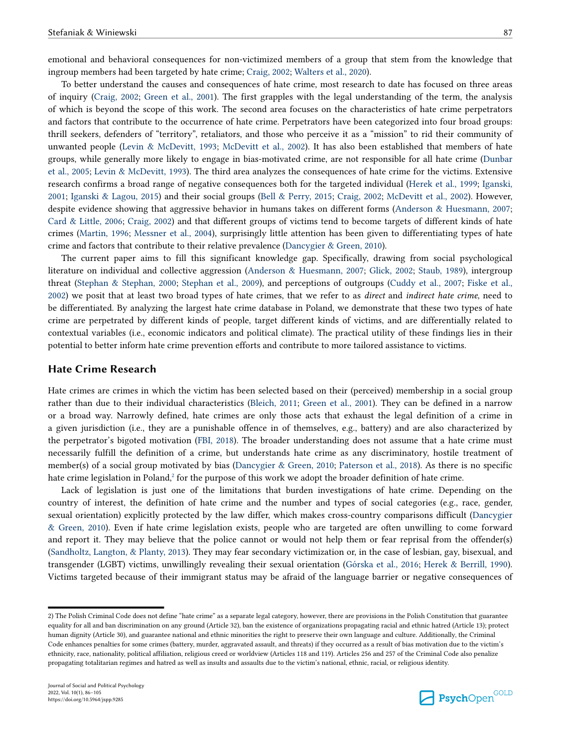emotional and behavioral consequences for non-victimized members of a group that stem from the knowledge that ingroup members had been targeted by hate crime; [Craig, 2002;](#page-15-0) [Walters et al., 2020](#page-19-0)).

To better understand the causes and consequences of hate crime, most research to date has focused on three areas of inquiry ([Craig, 2002](#page-15-0); [Green et al., 2001](#page-16-0)). The first grapples with the legal understanding of the term, the analysis of which is beyond the scope of this work. The second area focuses on the characteristics of hate crime perpetrators and factors that contribute to the occurrence of hate crime. Perpetrators have been categorized into four broad groups: thrill seekers, defenders of "territory", retaliators, and those who perceive it as a "mission" to rid their community of unwanted people ([Levin & McDevitt, 1993](#page-17-0); [McDevitt et al., 2002\)](#page-17-0). It has also been established that members of hate groups, while generally more likely to engage in bias-motivated crime, are not responsible for all hate crime [\(Dunbar](#page-15-0) [et al., 2005;](#page-15-0) [Levin & McDevitt, 1993\)](#page-17-0). The third area analyzes the consequences of hate crime for the victims. Extensive research confirms a broad range of negative consequences both for the targeted individual [\(Herek et al., 1999;](#page-17-0) [Iganski,](#page-17-0) [2001;](#page-17-0) [Iganski & Lagou, 2015](#page-17-0)) and their social groups ([Bell & Perry, 2015;](#page-15-0) [Craig, 2002](#page-15-0); [McDevitt et al., 2002\)](#page-17-0). However, despite evidence showing that aggressive behavior in humans takes on different forms ([Anderson & Huesmann, 2007;](#page-15-0) [Card & Little, 2006;](#page-15-0) [Craig, 2002](#page-15-0)) and that different groups of victims tend to become targets of different kinds of hate crimes [\(Martin, 1996;](#page-17-0) [Messner et al., 2004](#page-17-0)), surprisingly little attention has been given to differentiating types of hate crime and factors that contribute to their relative prevalence [\(Dancygier & Green, 2010\)](#page-15-0).

The current paper aims to fill this significant knowledge gap. Specifically, drawing from social psychological literature on individual and collective aggression [\(Anderson & Huesmann, 2007](#page-15-0); [Glick, 2002;](#page-16-0) [Staub, 1989\)](#page-19-0), intergroup threat [\(Stephan & Stephan, 2000](#page-19-0); [Stephan et al., 2009](#page-19-0)), and perceptions of outgroups [\(Cuddy et al., 2007](#page-15-0); [Fiske et al.,](#page-16-0) [2002\)](#page-16-0) we posit that at least two broad types of hate crimes, that we refer to as *direct* and *indirect hate crime*, need to be differentiated. By analyzing the largest hate crime database in Poland, we demonstrate that these two types of hate crime are perpetrated by different kinds of people, target different kinds of victims, and are differentially related to contextual variables (i.e., economic indicators and political climate). The practical utility of these findings lies in their potential to better inform hate crime prevention efforts and contribute to more tailored assistance to victims.

### **Hate Crime Research**

Hate crimes are crimes in which the victim has been selected based on their (perceived) membership in a social group rather than due to their individual characteristics ([Bleich, 2011;](#page-15-0) [Green et al., 2001\)](#page-16-0). They can be defined in a narrow or a broad way. Narrowly defined, hate crimes are only those acts that exhaust the legal definition of a crime in a given jurisdiction (i.e., they are a punishable offence in of themselves, e.g., battery) and are also characterized by the perpetrator's bigoted motivation ([FBI, 2018](#page-16-0)). The broader understanding does not assume that a hate crime must necessarily fulfill the definition of a crime, but understands hate crime as any discriminatory, hostile treatment of member(s) of a social group motivated by bias [\(Dancygier & Green, 2010;](#page-15-0) [Paterson et al., 2018](#page-18-0)). As there is no specific hate crime legislation in Poland,<sup>2</sup> for the purpose of this work we adopt the broader definition of hate crime.

Lack of legislation is just one of the limitations that burden investigations of hate crime. Depending on the country of interest, the definition of hate crime and the number and types of social categories (e.g., race, gender, sexual orientation) explicitly protected by the law differ, which makes cross-country comparisons difficult ([Dancygier](#page-15-0) [& Green, 2010\)](#page-15-0). Even if hate crime legislation exists, people who are targeted are often unwilling to come forward and report it. They may believe that the police cannot or would not help them or fear reprisal from the offender(s) [\(Sandholtz, Langton, & Planty, 2013](#page-18-0)). They may fear secondary victimization or, in the case of lesbian, gay, bisexual, and transgender (LGBT) victims, unwillingly revealing their sexual orientation [\(Górska et al., 2016;](#page-16-0) [Herek & Berrill, 1990](#page-16-0)). Victims targeted because of their immigrant status may be afraid of the language barrier or negative consequences of



<sup>2)</sup> The Polish Criminal Code does not define "hate crime" as a separate legal category, however, there are provisions in the Polish Constitution that guarantee equality for all and ban discrimination on any ground (Article 32), ban the existence of organizations propagating racial and ethnic hatred (Article 13); protect human dignity (Article 30), and guarantee national and ethnic minorities the right to preserve their own language and culture. Additionally, the Criminal Code enhances penalties for some crimes (battery, murder, aggravated assault, and threats) if they occurred as a result of bias motivation due to the victim's ethnicity, race, nationality, political affiliation, religious creed or worldview (Articles 118 and 119). Articles 256 and 257 of the Criminal Code also penalize propagating totalitarian regimes and hatred as well as insults and assaults due to the victim's national, ethnic, racial, or religious identity.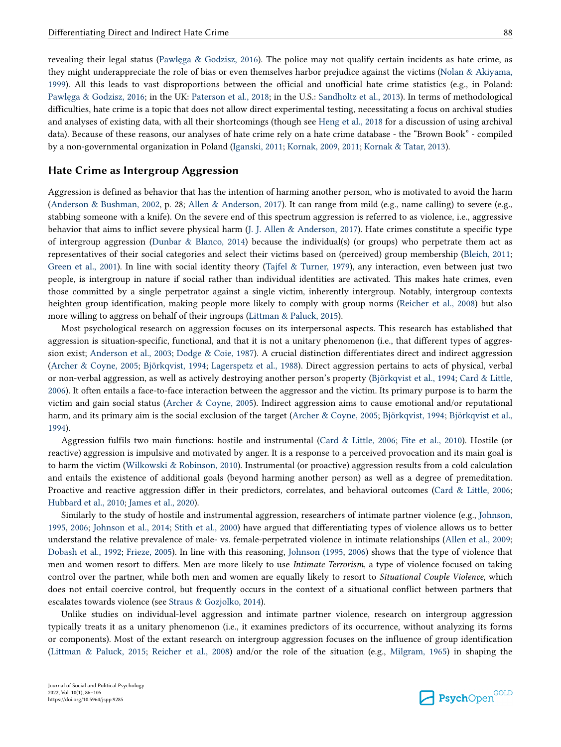revealing their legal status [\(Pawlęga & Godzisz, 2016](#page-18-0)). The police may not qualify certain incidents as hate crime, as they might underappreciate the role of bias or even themselves harbor prejudice against the victims ([Nolan & Akiyama,](#page-18-0) [1999\)](#page-18-0). All this leads to vast disproportions between the official and unofficial hate crime statistics (e.g., in Poland: [Pawlęga & Godzisz, 2016;](#page-18-0) in the UK: [Paterson et al., 2018;](#page-18-0) in the U.S.: [Sandholtz et al., 2013](#page-18-0)). In terms of methodological difficulties, hate crime is a topic that does not allow direct experimental testing, necessitating a focus on archival studies and analyses of existing data, with all their shortcomings (though see [Heng et al., 2018](#page-16-0) for a discussion of using archival data). Because of these reasons, our analyses of hate crime rely on a hate crime database - the "Brown Book" - compiled by a non-governmental organization in Poland [\(Iganski, 2011](#page-17-0); [Kornak, 2009, 2011;](#page-17-0) [Kornak & Tatar, 2013](#page-17-0)).

## **Hate Crime as Intergroup Aggression**

Aggression is defined as behavior that has the intention of harming another person, who is motivated to avoid the harm [\(Anderson & Bushman, 2002,](#page-14-0) p. 28; [Allen & Anderson, 2017](#page-14-0)). It can range from mild (e.g., name calling) to severe (e.g., stabbing someone with a knife). On the severe end of this spectrum aggression is referred to as violence, i.e., aggressive behavior that aims to inflict severe physical harm ([J. J. Allen & Anderson, 2017\)](#page-14-0). Hate crimes constitute a specific type of intergroup aggression ([Dunbar & Blanco, 2014](#page-15-0)) because the individual(s) (or groups) who perpetrate them act as representatives of their social categories and select their victims based on (perceived) group membership ([Bleich, 2011;](#page-15-0) [Green et al., 2001](#page-16-0)). In line with social identity theory [\(Tajfel & Turner, 1979](#page-19-0)), any interaction, even between just two people, is intergroup in nature if social rather than individual identities are activated. This makes hate crimes, even those committed by a single perpetrator against a single victim, inherently intergroup. Notably, intergroup contexts heighten group identification, making people more likely to comply with group norms [\(Reicher et al., 2008](#page-18-0)) but also more willing to aggress on behalf of their ingroups [\(Littman & Paluck, 2015](#page-17-0)).

Most psychological research on aggression focuses on its interpersonal aspects. This research has established that aggression is situation-specific, functional, and that it is not a unitary phenomenon (i.e., that different types of aggression exist; [Anderson et al., 2003](#page-14-0); [Dodge & Coie, 1987\)](#page-15-0). A crucial distinction differentiates direct and indirect aggression [\(Archer & Coyne, 2005;](#page-15-0) [Björkqvist, 1994;](#page-15-0) [Lagerspetz et al., 1988\)](#page-17-0). Direct aggression pertains to acts of physical, verbal or non-verbal aggression, as well as actively destroying another person's property ([Björkqvist et al., 1994](#page-15-0); [Card & Little,](#page-15-0) [2006\)](#page-15-0). It often entails a face-to-face interaction between the aggressor and the victim. Its primary purpose is to harm the victim and gain social status [\(Archer & Coyne, 2005](#page-15-0)). Indirect aggression aims to cause emotional and/or reputational harm, and its primary aim is the social exclusion of the target [\(Archer & Coyne, 2005](#page-15-0); [Björkqvist, 1994](#page-15-0); [Björkqvist et al.,](#page-15-0) [1994\)](#page-15-0).

Aggression fulfils two main functions: hostile and instrumental ([Card & Little, 2006](#page-15-0); [Fite et al., 2010\)](#page-16-0). Hostile (or reactive) aggression is impulsive and motivated by anger. It is a response to a perceived provocation and its main goal is to harm the victim ([Wilkowski & Robinson, 2010](#page-19-0)). Instrumental (or proactive) aggression results from a cold calculation and entails the existence of additional goals (beyond harming another person) as well as a degree of premeditation. Proactive and reactive aggression differ in their predictors, correlates, and behavioral outcomes ([Card & Little, 2006;](#page-15-0) [Hubbard et al., 2010](#page-17-0); [James et al., 2020](#page-17-0)).

Similarly to the study of hostile and instrumental aggression, researchers of intimate partner violence (e.g., [Johnson,](#page-17-0) [1995,](#page-17-0) [2006;](#page-17-0) [Johnson et al., 2014;](#page-17-0) [Stith et al., 2000](#page-19-0)) have argued that differentiating types of violence allows us to better understand the relative prevalence of male- vs. female-perpetrated violence in intimate relationships ([Allen et al., 2009;](#page-14-0) [Dobash et al., 1992;](#page-15-0) [Frieze, 2005\)](#page-16-0). In line with this reasoning, [Johnson \(1995](#page-17-0), [2006](#page-17-0)) shows that the type of violence that men and women resort to differs. Men are more likely to use *Intimate Terrorism*, a type of violence focused on taking control over the partner, while both men and women are equally likely to resort to *Situational Couple Violence*, which does not entail coercive control, but frequently occurs in the context of a situational conflict between partners that escalates towards violence (see [Straus & Gozjolko, 2014\)](#page-19-0).

Unlike studies on individual-level aggression and intimate partner violence, research on intergroup aggression typically treats it as a unitary phenomenon (i.e., it examines predictors of its occurrence, without analyzing its forms or components). Most of the extant research on intergroup aggression focuses on the influence of group identification [\(Littman & Paluck, 2015;](#page-17-0) [Reicher et al., 2008\)](#page-18-0) and/or the role of the situation (e.g., [Milgram, 1965\)](#page-18-0) in shaping the

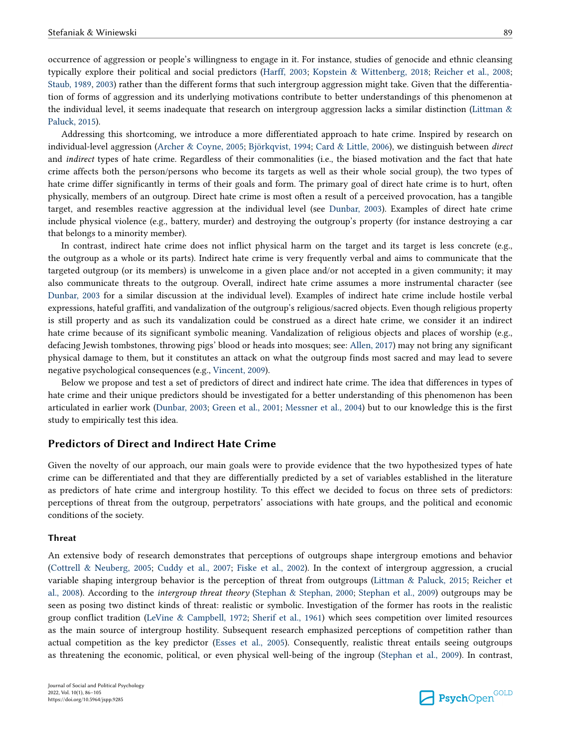occurrence of aggression or people's willingness to engage in it. For instance, studies of genocide and ethnic cleansing typically explore their political and social predictors ([Harff, 2003](#page-16-0); [Kopstein & Wittenberg, 2018;](#page-17-0) [Reicher et al., 2008;](#page-18-0) [Staub, 1989](#page-19-0), [2003\)](#page-19-0) rather than the different forms that such intergroup aggression might take. Given that the differentiation of forms of aggression and its underlying motivations contribute to better understandings of this phenomenon at the individual level, it seems inadequate that research on intergroup aggression lacks a similar distinction (Littman  $\&$ [Paluck, 2015\)](#page-17-0).

Addressing this shortcoming, we introduce a more differentiated approach to hate crime. Inspired by research on individual-level aggression [\(Archer & Coyne, 2005;](#page-15-0) [Björkqvist, 1994](#page-15-0); [Card & Little, 2006](#page-15-0)), we distinguish between *direct*  and *indirect* types of hate crime. Regardless of their commonalities (i.e., the biased motivation and the fact that hate crime affects both the person/persons who become its targets as well as their whole social group), the two types of hate crime differ significantly in terms of their goals and form. The primary goal of direct hate crime is to hurt, often physically, members of an outgroup. Direct hate crime is most often a result of a perceived provocation, has a tangible target, and resembles reactive aggression at the individual level (see [Dunbar, 2003](#page-15-0)). Examples of direct hate crime include physical violence (e.g., battery, murder) and destroying the outgroup's property (for instance destroying a car that belongs to a minority member).

In contrast, indirect hate crime does not inflict physical harm on the target and its target is less concrete (e.g., the outgroup as a whole or its parts). Indirect hate crime is very frequently verbal and aims to communicate that the targeted outgroup (or its members) is unwelcome in a given place and/or not accepted in a given community; it may also communicate threats to the outgroup. Overall, indirect hate crime assumes a more instrumental character (see [Dunbar, 2003](#page-15-0) for a similar discussion at the individual level). Examples of indirect hate crime include hostile verbal expressions, hateful graffiti, and vandalization of the outgroup's religious/sacred objects. Even though religious property is still property and as such its vandalization could be construed as a direct hate crime, we consider it an indirect hate crime because of its significant symbolic meaning. Vandalization of religious objects and places of worship (e.g., defacing Jewish tombstones, throwing pigs' blood or heads into mosques; see: [Allen, 2017](#page-14-0)) may not bring any significant physical damage to them, but it constitutes an attack on what the outgroup finds most sacred and may lead to severe negative psychological consequences (e.g., [Vincent, 2009\)](#page-19-0).

Below we propose and test a set of predictors of direct and indirect hate crime. The idea that differences in types of hate crime and their unique predictors should be investigated for a better understanding of this phenomenon has been articulated in earlier work ([Dunbar, 2003](#page-15-0); [Green et al., 2001;](#page-16-0) [Messner et al., 2004\)](#page-17-0) but to our knowledge this is the first study to empirically test this idea.

## **Predictors of Direct and Indirect Hate Crime**

Given the novelty of our approach, our main goals were to provide evidence that the two hypothesized types of hate crime can be differentiated and that they are differentially predicted by a set of variables established in the literature as predictors of hate crime and intergroup hostility. To this effect we decided to focus on three sets of predictors: perceptions of threat from the outgroup, perpetrators' associations with hate groups, and the political and economic conditions of the society.

#### **Threat**

An extensive body of research demonstrates that perceptions of outgroups shape intergroup emotions and behavior [\(Cottrell & Neuberg, 2005;](#page-15-0) [Cuddy et al., 2007](#page-15-0); [Fiske et al., 2002](#page-16-0)). In the context of intergroup aggression, a crucial variable shaping intergroup behavior is the perception of threat from outgroups [\(Littman & Paluck, 2015;](#page-17-0) [Reicher et](#page-18-0) [al., 2008\)](#page-18-0). According to the *intergroup threat theory* [\(Stephan & Stephan, 2000](#page-19-0); [Stephan et al., 2009](#page-19-0)) outgroups may be seen as posing two distinct kinds of threat: realistic or symbolic. Investigation of the former has roots in the realistic group conflict tradition ([LeVine & Campbell, 1972](#page-17-0); [Sherif et al., 1961\)](#page-18-0) which sees competition over limited resources as the main source of intergroup hostility. Subsequent research emphasized perceptions of competition rather than actual competition as the key predictor ([Esses et al., 2005](#page-16-0)). Consequently, realistic threat entails seeing outgroups as threatening the economic, political, or even physical well-being of the ingroup ([Stephan et al., 2009](#page-19-0)). In contrast,

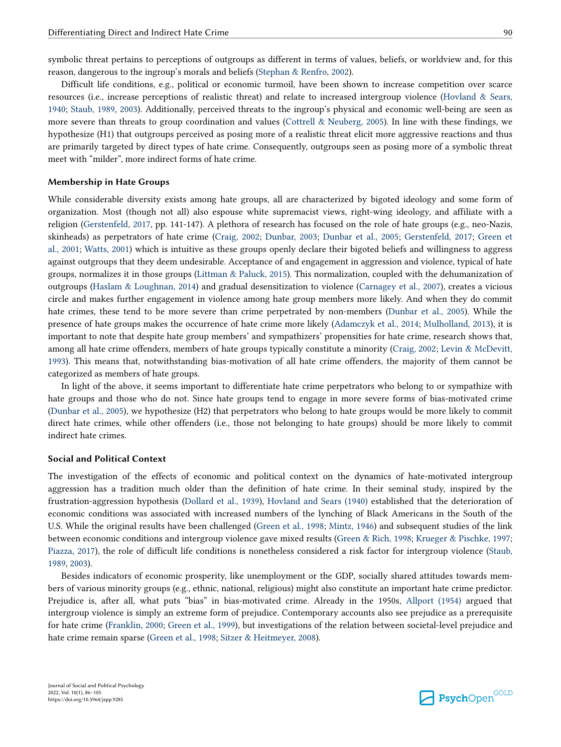symbolic threat pertains to perceptions of outgroups as different in terms of values, beliefs, or worldview and, for this reason, dangerous to the ingroup's morals and beliefs ([Stephan & Renfro, 2002](#page-19-0)).

Difficult life conditions, e.g., political or economic turmoil, have been shown to increase competition over scarce resources (i.e., increase perceptions of realistic threat) and relate to increased intergroup violence ([Hovland & Sears,](#page-17-0) [1940;](#page-17-0) [Staub, 1989,](#page-19-0) [2003\)](#page-19-0). Additionally, perceived threats to the ingroup's physical and economic well-being are seen as more severe than threats to group coordination and values [\(Cottrell & Neuberg, 2005\)](#page-15-0). In line with these findings, we hypothesize (H1) that outgroups perceived as posing more of a realistic threat elicit more aggressive reactions and thus are primarily targeted by direct types of hate crime. Consequently, outgroups seen as posing more of a symbolic threat meet with "milder", more indirect forms of hate crime.

#### **Membership in Hate Groups**

While considerable diversity exists among hate groups, all are characterized by bigoted ideology and some form of organization. Most (though not all) also espouse white supremacist views, right-wing ideology, and affiliate with a religion ([Gerstenfeld, 2017,](#page-16-0) pp. 141-147). A plethora of research has focused on the role of hate groups (e.g., neo-Nazis, skinheads) as perpetrators of hate crime [\(Craig, 2002;](#page-15-0) [Dunbar, 2003;](#page-15-0) [Dunbar et al., 2005](#page-15-0); [Gerstenfeld, 2017;](#page-16-0) [Green et](#page-16-0) [al., 2001](#page-16-0); [Watts, 2001](#page-19-0)) which is intuitive as these groups openly declare their bigoted beliefs and willingness to aggress against outgroups that they deem undesirable. Acceptance of and engagement in aggression and violence, typical of hate groups, normalizes it in those groups [\(Littman & Paluck, 2015\)](#page-17-0). This normalization, coupled with the dehumanization of outgroups ([Haslam & Loughnan, 2014](#page-16-0)) and gradual desensitization to violence ([Carnagey et al., 2007\)](#page-15-0), creates a vicious circle and makes further engagement in violence among hate group members more likely. And when they do commit hate crimes, these tend to be more severe than crime perpetrated by non-members ([Dunbar et al., 2005](#page-15-0)). While the presence of hate groups makes the occurrence of hate crime more likely [\(Adamczyk et al., 2014;](#page-14-0) [Mulholland, 2013\)](#page-18-0), it is important to note that despite hate group members' and sympathizers' propensities for hate crime, research shows that, among all hate crime offenders, members of hate groups typically constitute a minority [\(Craig, 2002](#page-15-0); [Levin & McDevitt,](#page-17-0) [1993\)](#page-17-0). This means that, notwithstanding bias-motivation of all hate crime offenders, the majority of them cannot be categorized as members of hate groups.

In light of the above, it seems important to differentiate hate crime perpetrators who belong to or sympathize with hate groups and those who do not. Since hate groups tend to engage in more severe forms of bias-motivated crime ([Dunbar et al., 2005](#page-15-0)), we hypothesize (H2) that perpetrators who belong to hate groups would be more likely to commit direct hate crimes, while other offenders (i.e., those not belonging to hate groups) should be more likely to commit indirect hate crimes.

#### **Social and Political Context**

The investigation of the effects of economic and political context on the dynamics of hate-motivated intergroup aggression has a tradition much older than the definition of hate crime. In their seminal study, inspired by the frustration-aggression hypothesis [\(Dollard et al., 1939](#page-15-0)), [Hovland and Sears \(1940\)](#page-17-0) established that the deterioration of economic conditions was associated with increased numbers of the lynching of Black Americans in the South of the U.S. While the original results have been challenged [\(Green et al., 1998](#page-16-0); [Mintz, 1946](#page-18-0)) and subsequent studies of the link between economic conditions and intergroup violence gave mixed results ([Green & Rich, 1998;](#page-16-0) [Krueger & Pischke, 1997;](#page-17-0) [Piazza, 2017\)](#page-18-0), the role of difficult life conditions is nonetheless considered a risk factor for intergroup violence [\(Staub,](#page-19-0) [1989, 2003\)](#page-19-0).

Besides indicators of economic prosperity, like unemployment or the GDP, socially shared attitudes towards members of various minority groups (e.g., ethnic, national, religious) might also constitute an important hate crime predictor. Prejudice is, after all, what puts "bias" in bias-motivated crime. Already in the 1950s, [Allport \(1954\)](#page-14-0) argued that intergroup violence is simply an extreme form of prejudice. Contemporary accounts also see prejudice as a prerequisite for hate crime [\(Franklin, 2000](#page-16-0); [Green et al., 1999\)](#page-16-0), but investigations of the relation between societal-level prejudice and hate crime remain sparse [\(Green et al., 1998](#page-16-0); [Sitzer & Heitmeyer, 2008](#page-18-0)).

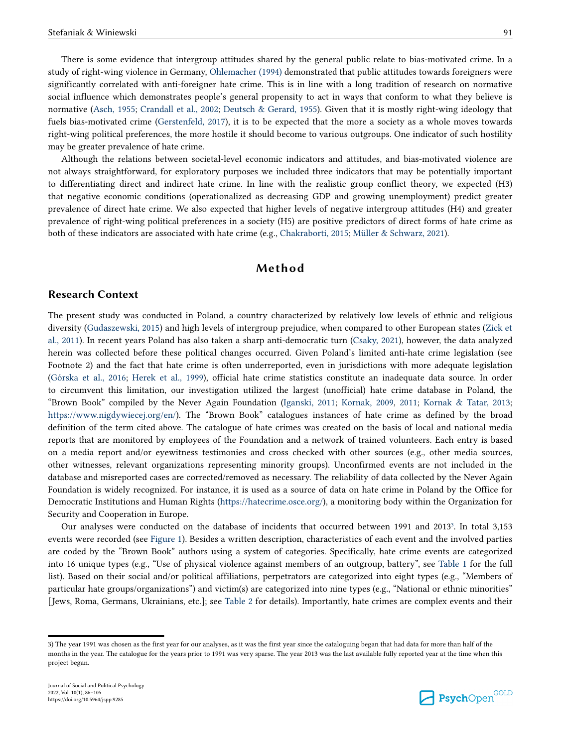There is some evidence that intergroup attitudes shared by the general public relate to bias-motivated crime. In a study of right-wing violence in Germany, [Ohlemacher \(1994\)](#page-18-0) demonstrated that public attitudes towards foreigners were significantly correlated with anti-foreigner hate crime. This is in line with a long tradition of research on normative social influence which demonstrates people's general propensity to act in ways that conform to what they believe is normative [\(Asch, 1955;](#page-15-0) [Crandall et al., 2002;](#page-15-0) [Deutsch & Gerard, 1955\)](#page-15-0). Given that it is mostly right-wing ideology that

fuels bias-motivated crime ([Gerstenfeld, 2017](#page-16-0)), it is to be expected that the more a society as a whole moves towards right-wing political preferences, the more hostile it should become to various outgroups. One indicator of such hostility may be greater prevalence of hate crime.

Although the relations between societal-level economic indicators and attitudes, and bias-motivated violence are not always straightforward, for exploratory purposes we included three indicators that may be potentially important to differentiating direct and indirect hate crime. In line with the realistic group conflict theory, we expected (H3) that negative economic conditions (operationalized as decreasing GDP and growing unemployment) predict greater prevalence of direct hate crime. We also expected that higher levels of negative intergroup attitudes (H4) and greater prevalence of right-wing political preferences in a society (H5) are positive predictors of direct forms of hate crime as both of these indicators are associated with hate crime (e.g., [Chakraborti, 2015](#page-15-0); [Müller & Schwarz, 2021](#page-18-0)).

## **Method**

## **Research Context**

The present study was conducted in Poland, a country characterized by relatively low levels of ethnic and religious diversity ([Gudaszewski, 2015\)](#page-16-0) and high levels of intergroup prejudice, when compared to other European states ([Zick et](#page-19-0)  [al., 2011](#page-19-0)). In recent years Poland has also taken a sharp anti-democratic turn [\(Csaky, 2021](#page-15-0)), however, the data analyzed herein was collected before these political changes occurred. Given Poland's limited anti-hate crime legislation (see Footnote 2) and the fact that hate crime is often underreported, even in jurisdictions with more adequate legislation [\(Górska et al., 2016;](#page-16-0) [Herek et al., 1999](#page-17-0)), official hate crime statistics constitute an inadequate data source. In order to circumvent this limitation, our investigation utilized the largest (unofficial) hate crime database in Poland, the "Brown Book" compiled by the Never Again Foundation [\(Iganski, 2011](#page-17-0); [Kornak, 2009](#page-17-0), [2011](#page-17-0); [Kornak & Tatar, 2013;](#page-17-0) [https://www.nigdywiecej.org/en/\)](https://www.nigdywiecej.org/en/). The "Brown Book" catalogues instances of hate crime as defined by the broad definition of the term cited above. The catalogue of hate crimes was created on the basis of local and national media reports that are monitored by employees of the Foundation and a network of trained volunteers. Each entry is based on a media report and/or eyewitness testimonies and cross checked with other sources (e.g., other media sources, other witnesses, relevant organizations representing minority groups). Unconfirmed events are not included in the database and misreported cases are corrected/removed as necessary. The reliability of data collected by the Never Again Foundation is widely recognized. For instance, it is used as a source of data on hate crime in Poland by the Office for Democratic Institutions and Human Rights ([https://hatecrime.osce.org/\)](https://hatecrime.osce.org/), a monitoring body within the Organization for Security and Cooperation in Europe.

Our analyses were conducted on the database of incidents that occurred between 1991 and 2013<sup>3</sup> . In total 3,153 events were recorded (see [Figure 1](#page-6-0)). Besides a written description, characteristics of each event and the involved parties are coded by the "Brown Book" authors using a system of categories. Specifically, hate crime events are categorized into 16 unique types (e.g., "Use of physical violence against members of an outgroup, battery", see [Table 1](#page-6-0) for the full list). Based on their social and/or political affiliations, perpetrators are categorized into eight types (e.g., "Members of particular hate groups/organizations") and victim(s) are categorized into nine types (e.g., "National or ethnic minorities" [Jews, Roma, Germans, Ukrainians, etc.]; see [Table 2](#page-7-0) for details). Importantly, hate crimes are complex events and their



<sup>3)</sup> The year 1991 was chosen as the first year for our analyses, as it was the first year since the cataloguing began that had data for more than half of the months in the year. The catalogue for the years prior to 1991 was very sparse. The year 2013 was the last available fully reported year at the time when this project began.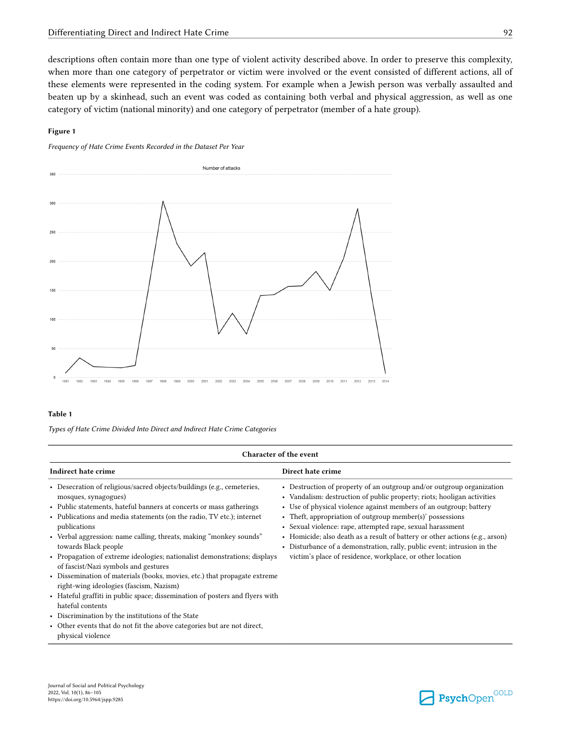<span id="page-6-0"></span>descriptions often contain more than one type of violent activity described above. In order to preserve this complexity, when more than one category of perpetrator or victim were involved or the event consisted of different actions, all of these elements were represented in the coding system. For example when a Jewish person was verbally assaulted and beaten up by a skinhead, such an event was coded as containing both verbal and physical aggression, as well as one category of victim (national minority) and one category of perpetrator (member of a hate group).

### **Figure 1**

*Frequency of Hate Crime Events Recorded in the Dataset Per Year*



### **Table 1**

*Types of Hate Crime Divided Into Direct and Indirect Hate Crime Categories*

|                                                                                                                                                                                                                                                                                                                                                                                                                                                                                                                                                                                                                                                                                                                                                                                                                                                                    | Character of the event                                                                                                                                                                                                                                                                                                                                                                                                                                                                                                                                                    |
|--------------------------------------------------------------------------------------------------------------------------------------------------------------------------------------------------------------------------------------------------------------------------------------------------------------------------------------------------------------------------------------------------------------------------------------------------------------------------------------------------------------------------------------------------------------------------------------------------------------------------------------------------------------------------------------------------------------------------------------------------------------------------------------------------------------------------------------------------------------------|---------------------------------------------------------------------------------------------------------------------------------------------------------------------------------------------------------------------------------------------------------------------------------------------------------------------------------------------------------------------------------------------------------------------------------------------------------------------------------------------------------------------------------------------------------------------------|
| Indirect hate crime                                                                                                                                                                                                                                                                                                                                                                                                                                                                                                                                                                                                                                                                                                                                                                                                                                                | Direct hate crime                                                                                                                                                                                                                                                                                                                                                                                                                                                                                                                                                         |
| • Desecration of religious/sacred objects/buildings (e.g., cemeteries,<br>mosques, synagogues)<br>• Public statements, hateful banners at concerts or mass gatherings<br>• Publications and media statements (on the radio, TV etc.); internet<br>publications<br>• Verbal aggression: name calling, threats, making "monkey sounds"<br>towards Black people<br>• Propagation of extreme ideologies; nationalist demonstrations; displays<br>of fascist/Nazi symbols and gestures<br>• Dissemination of materials (books, movies, etc.) that propagate extreme<br>right-wing ideologies (fascism, Nazism)<br>• Hateful graffiti in public space; dissemination of posters and flyers with<br>hateful contents<br>• Discrimination by the institutions of the State<br>• Other events that do not fit the above categories but are not direct,<br>physical violence | • Destruction of property of an outgroup and/or outgroup organization<br>• Vandalism: destruction of public property; riots; hooligan activities<br>• Use of physical violence against members of an outgroup; battery<br>• Theft, appropriation of outgroup member(s)' possessions<br>• Sexual violence: rape, attempted rape, sexual harassment<br>• Homicide; also death as a result of battery or other actions (e.g., arson)<br>• Disturbance of a demonstration, rally, public event; intrusion in the<br>victim's place of residence, workplace, or other location |

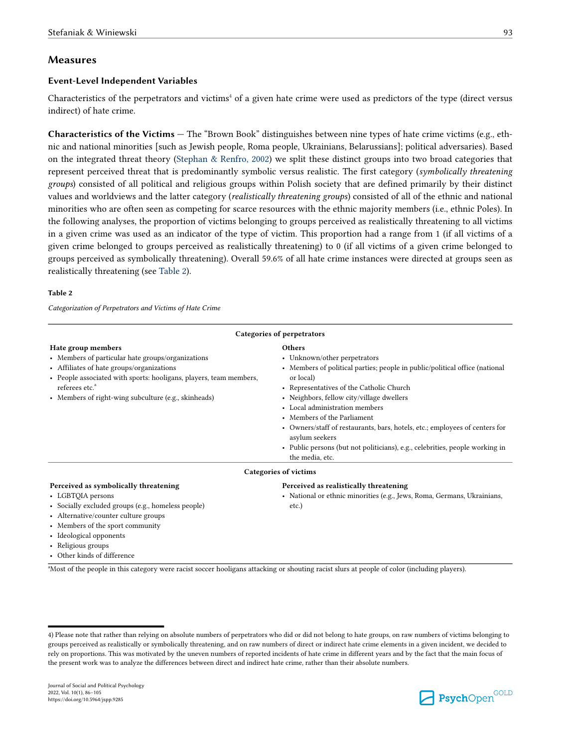## <span id="page-7-0"></span>**Measures**

## **Event-Level Independent Variables**

Characteristics of the perpetrators and victims<sup>4</sup> of a given hate crime were used as predictors of the type (direct versus indirect) of hate crime.

**Characteristics of the Victims —** The "Brown Book" distinguishes between nine types of hate crime victims (e.g., ethnic and national minorities [such as Jewish people, Roma people, Ukrainians, Belarussians]; political adversaries). Based on the integrated threat theory [\(Stephan & Renfro, 2002\)](#page-19-0) we split these distinct groups into two broad categories that represent perceived threat that is predominantly symbolic versus realistic. The first category (*symbolically threatening groups*) consisted of all political and religious groups within Polish society that are defined primarily by their distinct values and worldviews and the latter category (*realistically threatening groups*) consisted of all of the ethnic and national minorities who are often seen as competing for scarce resources with the ethnic majority members (i.e., ethnic Poles). In the following analyses, the proportion of victims belonging to groups perceived as realistically threatening to all victims in a given crime was used as an indicator of the type of victim. This proportion had a range from 1 (if all victims of a given crime belonged to groups perceived as realistically threatening) to 0 (if all victims of a given crime belonged to groups perceived as symbolically threatening). Overall 59.6% of all hate crime instances were directed at groups seen as realistically threatening (see Table 2).

#### **Table 2**

*Categorization of Perpetrators and Victims of Hate Crime*

|                                                                                                                                                                                                                                                                                  | Categories of perpetrators                                                                                                                                                                                                                                                                                                                                                                                                                                                                              |
|----------------------------------------------------------------------------------------------------------------------------------------------------------------------------------------------------------------------------------------------------------------------------------|---------------------------------------------------------------------------------------------------------------------------------------------------------------------------------------------------------------------------------------------------------------------------------------------------------------------------------------------------------------------------------------------------------------------------------------------------------------------------------------------------------|
| Hate group members<br>• Members of particular hate groups/organizations<br>• Affiliates of hate groups/organizations<br>• People associated with sports: hooligans, players, team members,<br>referees etc. <sup>ª</sup><br>• Members of right-wing subculture (e.g., skinheads) | <b>Others</b><br>• Unknown/other perpetrators<br>• Members of political parties; people in public/political office (national<br>or local)<br>• Representatives of the Catholic Church<br>• Neighbors, fellow city/village dwellers<br>• Local administration members<br>• Members of the Parliament<br>• Owners/staff of restaurants, bars, hotels, etc.; employees of centers for<br>asylum seekers<br>• Public persons (but not politicians), e.g., celebrities, people working in<br>the media, etc. |
|                                                                                                                                                                                                                                                                                  | <b>Categories of victims</b>                                                                                                                                                                                                                                                                                                                                                                                                                                                                            |
| Perceived as symbolically threatening<br>• LGBTQIA persons<br>• Socially excluded groups (e.g., homeless people)<br>• Alternative/counter culture groups<br>• Members of the sport community                                                                                     | Perceived as realistically threatening<br>• National or ethnic minorities (e.g., Jews, Roma, Germans, Ukrainians,<br>etc.)                                                                                                                                                                                                                                                                                                                                                                              |

• Ideological opponents

- Religious groups
- Other kinds of difference

<sup>a</sup>Most of the people in this category were racist soccer hooligans attacking or shouting racist slurs at people of color (including players).

<sup>4)</sup> Please note that rather than relying on absolute numbers of perpetrators who did or did not belong to hate groups, on raw numbers of victims belonging to groups perceived as realistically or symbolically threatening, and on raw numbers of direct or indirect hate crime elements in a given incident, we decided to rely on proportions. This was motivated by the uneven numbers of reported incidents of hate crime in different years and by the fact that the main focus of the present work was to analyze the differences between direct and indirect hate crime, rather than their absolute numbers.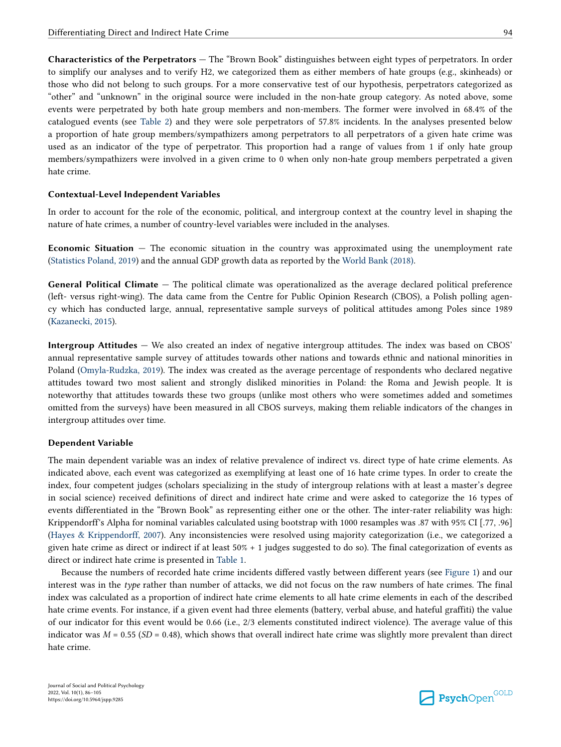**Characteristics of the Perpetrators —** The "Brown Book" distinguishes between eight types of perpetrators. In order to simplify our analyses and to verify H2, we categorized them as either members of hate groups (e.g., skinheads) or those who did not belong to such groups. For a more conservative test of our hypothesis, perpetrators categorized as "other" and "unknown" in the original source were included in the non-hate group category. As noted above, some events were perpetrated by both hate group members and non-members. The former were involved in 68.4% of the catalogued events (see [Table 2\)](#page-7-0) and they were sole perpetrators of 57.8% incidents. In the analyses presented below a proportion of hate group members/sympathizers among perpetrators to all perpetrators of a given hate crime was used as an indicator of the type of perpetrator. This proportion had a range of values from 1 if only hate group members/sympathizers were involved in a given crime to 0 when only non-hate group members perpetrated a given hate crime.

### **Contextual-Level Independent Variables**

In order to account for the role of the economic, political, and intergroup context at the country level in shaping the nature of hate crimes, a number of country-level variables were included in the analyses.

**Economic Situation —** The economic situation in the country was approximated using the unemployment rate [\(Statistics Poland, 2019](#page-18-0)) and the annual GDP growth data as reported by the [World Bank \(2018\)](#page-19-0).

**General Political Climate —** The political climate was operationalized as the average declared political preference (left- versus right-wing). The data came from the Centre for Public Opinion Research (CBOS), a Polish polling agency which has conducted large, annual, representative sample surveys of political attitudes among Poles since 1989 ([Kazanecki, 2015\)](#page-17-0).

**Intergroup Attitudes —** We also created an index of negative intergroup attitudes. The index was based on CBOS' annual representative sample survey of attitudes towards other nations and towards ethnic and national minorities in Poland [\(Omyla-Rudzka, 2019](#page-18-0)). The index was created as the average percentage of respondents who declared negative attitudes toward two most salient and strongly disliked minorities in Poland: the Roma and Jewish people. It is noteworthy that attitudes towards these two groups (unlike most others who were sometimes added and sometimes omitted from the surveys) have been measured in all CBOS surveys, making them reliable indicators of the changes in intergroup attitudes over time.

#### **Dependent Variable**

The main dependent variable was an index of relative prevalence of indirect vs. direct type of hate crime elements. As indicated above, each event was categorized as exemplifying at least one of 16 hate crime types. In order to create the index, four competent judges (scholars specializing in the study of intergroup relations with at least a master's degree in social science) received definitions of direct and indirect hate crime and were asked to categorize the 16 types of events differentiated in the "Brown Book" as representing either one or the other. The inter-rater reliability was high: Krippendorff's Alpha for nominal variables calculated using bootstrap with 1000 resamples was .87 with 95% CI [.77, .96] [\(Hayes & Krippendorff, 2007](#page-16-0)). Any inconsistencies were resolved using majority categorization (i.e., we categorized a given hate crime as direct or indirect if at least 50% + 1 judges suggested to do so). The final categorization of events as direct or indirect hate crime is presented in [Table 1](#page-6-0).

Because the numbers of recorded hate crime incidents differed vastly between different years (see [Figure 1](#page-6-0)) and our interest was in the *type* rather than number of attacks, we did not focus on the raw numbers of hate crimes. The final index was calculated as a proportion of indirect hate crime elements to all hate crime elements in each of the described hate crime events. For instance, if a given event had three elements (battery, verbal abuse, and hateful graffiti) the value of our indicator for this event would be 0.66 (i.e., 2/3 elements constituted indirect violence). The average value of this indicator was  $M = 0.55$  ( $SD = 0.48$ ), which shows that overall indirect hate crime was slightly more prevalent than direct hate crime.

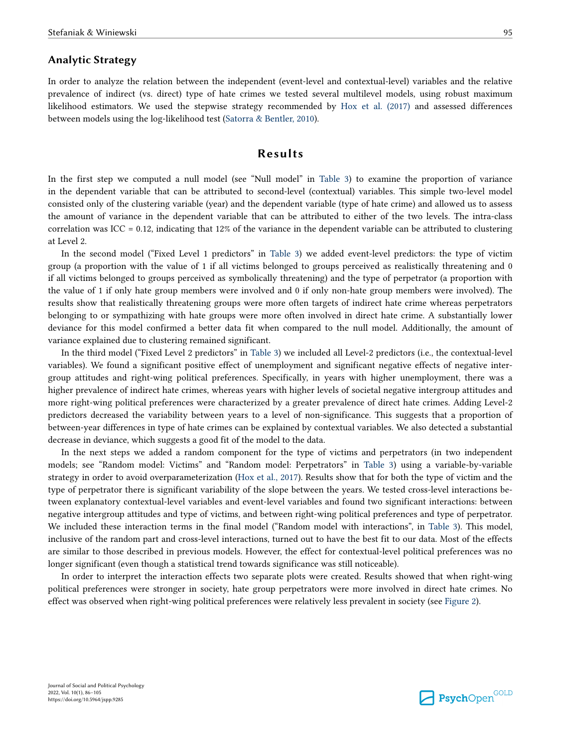## **Analytic Strategy**

In order to analyze the relation between the independent (event-level and contextual-level) variables and the relative prevalence of indirect (vs. direct) type of hate crimes we tested several multilevel models, using robust maximum likelihood estimators. We used the stepwise strategy recommended by [Hox et al. \(2017\)](#page-17-0) and assessed differences between models using the log-likelihood test ([Satorra & Bentler, 2010\)](#page-18-0).

## **Results**

In the first step we computed a null model (see "Null model" in [Table 3\)](#page-10-0) to examine the proportion of variance in the dependent variable that can be attributed to second-level (contextual) variables. This simple two-level model consisted only of the clustering variable (year) and the dependent variable (type of hate crime) and allowed us to assess the amount of variance in the dependent variable that can be attributed to either of the two levels. The intra-class correlation was ICC = 0.12, indicating that 12% of the variance in the dependent variable can be attributed to clustering at Level 2.

In the second model ("Fixed Level 1 predictors" in [Table 3\)](#page-10-0) we added event-level predictors: the type of victim group (a proportion with the value of 1 if all victims belonged to groups perceived as realistically threatening and 0 if all victims belonged to groups perceived as symbolically threatening) and the type of perpetrator (a proportion with the value of 1 if only hate group members were involved and 0 if only non-hate group members were involved). The results show that realistically threatening groups were more often targets of indirect hate crime whereas perpetrators belonging to or sympathizing with hate groups were more often involved in direct hate crime. A substantially lower deviance for this model confirmed a better data fit when compared to the null model. Additionally, the amount of variance explained due to clustering remained significant.

In the third model ("Fixed Level 2 predictors" in [Table 3\)](#page-10-0) we included all Level-2 predictors (i.e., the contextual-level variables). We found a significant positive effect of unemployment and significant negative effects of negative intergroup attitudes and right-wing political preferences. Specifically, in years with higher unemployment, there was a higher prevalence of indirect hate crimes, whereas years with higher levels of societal negative intergroup attitudes and more right-wing political preferences were characterized by a greater prevalence of direct hate crimes. Adding Level-2 predictors decreased the variability between years to a level of non-significance. This suggests that a proportion of between-year differences in type of hate crimes can be explained by contextual variables. We also detected a substantial decrease in deviance, which suggests a good fit of the model to the data.

In the next steps we added a random component for the type of victims and perpetrators (in two independent models; see "Random model: Victims" and "Random model: Perpetrators" in [Table 3\)](#page-10-0) using a variable-by-variable strategy in order to avoid overparameterization ([Hox et al., 2017](#page-17-0)). Results show that for both the type of victim and the type of perpetrator there is significant variability of the slope between the years. We tested cross-level interactions between explanatory contextual-level variables and event-level variables and found two significant interactions: between negative intergroup attitudes and type of victims, and between right-wing political preferences and type of perpetrator. We included these interaction terms in the final model ("Random model with interactions", in [Table 3\)](#page-10-0). This model, inclusive of the random part and cross-level interactions, turned out to have the best fit to our data. Most of the effects are similar to those described in previous models. However, the effect for contextual-level political preferences was no longer significant (even though a statistical trend towards significance was still noticeable).

In order to interpret the interaction effects two separate plots were created. Results showed that when right-wing political preferences were stronger in society, hate group perpetrators were more involved in direct hate crimes. No effect was observed when right-wing political preferences were relatively less prevalent in society (see [Figure 2\)](#page-11-0).

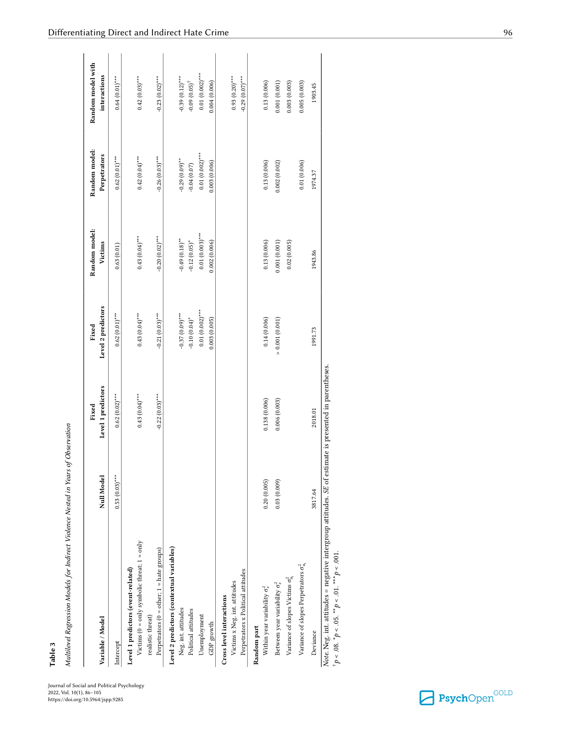<span id="page-10-0"></span>

| Variable / Model                                                                                                                                                         | Null Model       | Level 1 predictors<br>Fixed | Level 2 predictors<br>Fixed          | Random model:<br>Victims            | Random model:<br>Perpetrators     | Random model with<br>interactions            |
|--------------------------------------------------------------------------------------------------------------------------------------------------------------------------|------------------|-----------------------------|--------------------------------------|-------------------------------------|-----------------------------------|----------------------------------------------|
| Intercept                                                                                                                                                                | $0.53(0.03)$ *** | $0.62(0.02)$ ***            | $0.62(0.01)***$                      | 0.63(0.01)                          | $0.62(0.01)***$                   | $0.64(0.01)$ ***                             |
| Victims ( $0 =$ only symbolic threat; $1 =$ only<br>Level 1 predictors (event-related)                                                                                   |                  | $0.43(0.04)$ ***            | $0.43(0.04)$ ***                     | $0.43(0.04)$ ***                    | $0.42(0.04)$ ***                  | $0.42(0.03)$ ***                             |
| Perpetrators ( $0 =$ other; $1 =$ hate groups)<br>realistic threat)                                                                                                      |                  | $-0.22(0.03)$ ***           | $-0.21(0.03)***$                     | $-0.20(0.02)$ ***                   | $-0.26(0.03)$ ***                 | $-0.23(0.02)$ ***                            |
| Level 2 predictors (contextual variables)                                                                                                                                |                  |                             |                                      |                                     |                                   |                                              |
| Neg. int. attitudes<br>Political attitudes                                                                                                                               |                  |                             | $-0.37(0.09)$ ***<br>$-0.10(0.04)$ * | $-0.49(0.18)$ **<br>$-0.12(0.05)$ * | $-0.29(0.09)$ **<br>$-0.04(0.07)$ | $-0.39(0.12)$ ***<br>$-0.09(0.05)^{\dagger}$ |
| Unemployment<br>GDP growth                                                                                                                                               |                  |                             | $0.01(0.002)$ ***<br>0.003(0.005)    | $0.01(0.003)$ ***<br>0.002(0.006)   | $0.01(0.002)$ ***<br>0.003(0.006) | $0.01(0.002)$ ***<br>0.004(0.006)            |
| Perpetrators x Political attitudes<br>Victims x Neg. int. attitudes<br>Cross level interactions                                                                          |                  |                             |                                      |                                     |                                   | $0.93(0.20)$ ***<br>$-0.29(0.07)$ ***        |
| Random part                                                                                                                                                              |                  |                             |                                      |                                     |                                   |                                              |
| Within year variability $\sigma_e^2$                                                                                                                                     | 0.20(0.005)      | 0.138(0.006)                | 0.14(0.006)                          | 0.13(0.006)                         | 0.13(0.006)                       | 0.13(0.006)                                  |
| Between year variability $\sigma_{e}^{2}$                                                                                                                                | 0.03(0.009)      | 0.006(0.003)                | $> 0.001\ (0.001)$                   | 0.001(0.001)                        | 0.002(0.002)                      | 0.001(0.001)                                 |
| Variance of slopes Victims $\sigma_{u}^2$                                                                                                                                |                  |                             |                                      | 0.02(0.005)                         |                                   | 0.003(0.003)                                 |
| Variance of slopes Perpetrators $\sigma_{u_1}^2$                                                                                                                         |                  |                             |                                      |                                     | 0.01(0.006)                       | 0.005(0.003)                                 |
| Deviance                                                                                                                                                                 | 3817.64          | 2018.01                     | 1991.73                              | 1943.86                             | 1974.37                           | 1903.45                                      |
| Note. Neg. int. attitudes = negative intergroup attitudes. SE of estimate is presented in parentheses.<br>$^{\dagger}p < .08.$ " $p < .05.$ "" $p < .01.$ "" $p < .001.$ |                  |                             |                                      |                                     |                                   |                                              |

**Table 3**  $\frac{1}{2}$   $\frac{1}{2}$   $\frac{1}{2}$  $\mathbf{I}$ 

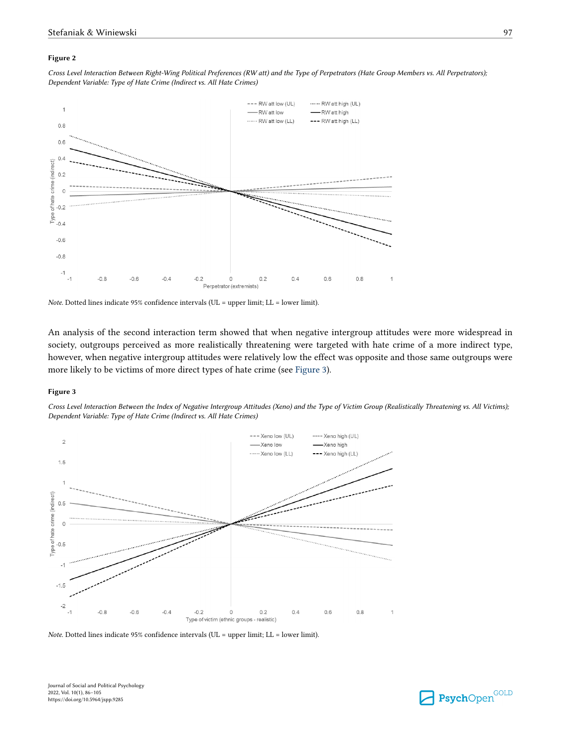#### <span id="page-11-0"></span>**Figure 2**

*Cross Level Interaction Between Right-Wing Political Preferences (RW att) and the Type of Perpetrators (Hate Group Members vs. All Perpetrators); Dependent Variable: Type of Hate Crime (Indirect vs. All Hate Crimes)*



*Note.* Dotted lines indicate 95% confidence intervals (UL = upper limit; LL = lower limit).

An analysis of the second interaction term showed that when negative intergroup attitudes were more widespread in society, outgroups perceived as more realistically threatening were targeted with hate crime of a more indirect type, however, when negative intergroup attitudes were relatively low the effect was opposite and those same outgroups were more likely to be victims of more direct types of hate crime (see Figure 3).

#### **Figure 3**

*Cross Level Interaction Between the Index of Negative Intergroup Attitudes (Xeno) and the Type of Victim Group (Realistically Threatening vs. All Victims); Dependent Variable: Type of Hate Crime (Indirect vs. All Hate Crimes)*



*Note*. Dotted lines indicate 95% confidence intervals (UL = upper limit; LL = lower limit).

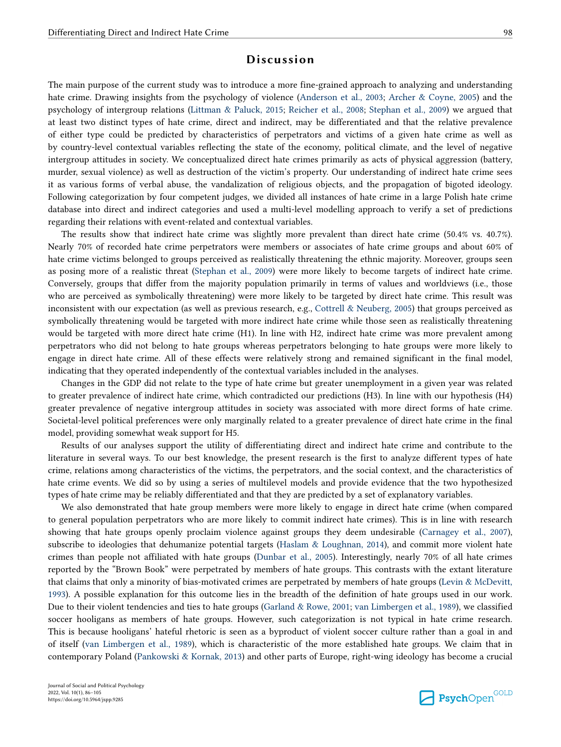## **Discussion**

The main purpose of the current study was to introduce a more fine-grained approach to analyzing and understanding hate crime. Drawing insights from the psychology of violence [\(Anderson et al., 2003;](#page-14-0) [Archer & Coyne, 2005](#page-15-0)) and the psychology of intergroup relations ([Littman & Paluck, 2015;](#page-17-0) [Reicher et al., 2008](#page-18-0); [Stephan et al., 2009](#page-19-0)) we argued that at least two distinct types of hate crime, direct and indirect, may be differentiated and that the relative prevalence of either type could be predicted by characteristics of perpetrators and victims of a given hate crime as well as by country-level contextual variables reflecting the state of the economy, political climate, and the level of negative intergroup attitudes in society. We conceptualized direct hate crimes primarily as acts of physical aggression (battery, murder, sexual violence) as well as destruction of the victim's property. Our understanding of indirect hate crime sees it as various forms of verbal abuse, the vandalization of religious objects, and the propagation of bigoted ideology. Following categorization by four competent judges, we divided all instances of hate crime in a large Polish hate crime database into direct and indirect categories and used a multi-level modelling approach to verify a set of predictions regarding their relations with event-related and contextual variables.

The results show that indirect hate crime was slightly more prevalent than direct hate crime (50.4% vs. 40.7%). Nearly 70% of recorded hate crime perpetrators were members or associates of hate crime groups and about 60% of hate crime victims belonged to groups perceived as realistically threatening the ethnic majority. Moreover, groups seen as posing more of a realistic threat ([Stephan et al., 2009](#page-19-0)) were more likely to become targets of indirect hate crime. Conversely, groups that differ from the majority population primarily in terms of values and worldviews (i.e., those who are perceived as symbolically threatening) were more likely to be targeted by direct hate crime. This result was inconsistent with our expectation (as well as previous research, e.g., [Cottrell & Neuberg, 2005](#page-15-0)) that groups perceived as symbolically threatening would be targeted with more indirect hate crime while those seen as realistically threatening would be targeted with more direct hate crime (H1). In line with H2, indirect hate crime was more prevalent among perpetrators who did not belong to hate groups whereas perpetrators belonging to hate groups were more likely to engage in direct hate crime. All of these effects were relatively strong and remained significant in the final model, indicating that they operated independently of the contextual variables included in the analyses.

Changes in the GDP did not relate to the type of hate crime but greater unemployment in a given year was related to greater prevalence of indirect hate crime, which contradicted our predictions (H3). In line with our hypothesis (H4) greater prevalence of negative intergroup attitudes in society was associated with more direct forms of hate crime. Societal-level political preferences were only marginally related to a greater prevalence of direct hate crime in the final model, providing somewhat weak support for H5.

Results of our analyses support the utility of differentiating direct and indirect hate crime and contribute to the literature in several ways. To our best knowledge, the present research is the first to analyze different types of hate crime, relations among characteristics of the victims, the perpetrators, and the social context, and the characteristics of hate crime events. We did so by using a series of multilevel models and provide evidence that the two hypothesized types of hate crime may be reliably differentiated and that they are predicted by a set of explanatory variables.

We also demonstrated that hate group members were more likely to engage in direct hate crime (when compared to general population perpetrators who are more likely to commit indirect hate crimes). This is in line with research showing that hate groups openly proclaim violence against groups they deem undesirable [\(Carnagey et al., 2007](#page-15-0)), subscribe to ideologies that dehumanize potential targets [\(Haslam & Loughnan, 2014\)](#page-16-0), and commit more violent hate crimes than people not affiliated with hate groups ([Dunbar et al., 2005](#page-15-0)). Interestingly, nearly 70% of all hate crimes reported by the "Brown Book" were perpetrated by members of hate groups. This contrasts with the extant literature that claims that only a minority of bias-motivated crimes are perpetrated by members of hate groups [\(Levin & McDevitt,](#page-17-0) [1993\)](#page-17-0). A possible explanation for this outcome lies in the breadth of the definition of hate groups used in our work. Due to their violent tendencies and ties to hate groups [\(Garland & Rowe, 2001;](#page-16-0) [van Limbergen et al., 1989](#page-19-0)), we classified soccer hooligans as members of hate groups. However, such categorization is not typical in hate crime research. This is because hooligans' hateful rhetoric is seen as a byproduct of violent soccer culture rather than a goal in and of itself [\(van Limbergen et al., 1989\)](#page-19-0), which is characteristic of the more established hate groups. We claim that in contemporary Poland ([Pankowski & Kornak, 2013\)](#page-18-0) and other parts of Europe, right-wing ideology has become a crucial

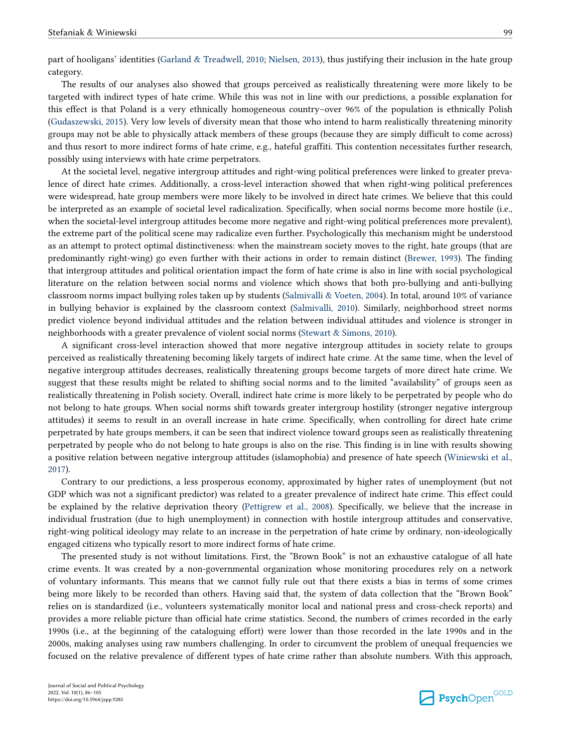part of hooligans' identities [\(Garland & Treadwell, 2010](#page-16-0); [Nielsen, 2013\)](#page-18-0), thus justifying their inclusion in the hate group category.

The results of our analyses also showed that groups perceived as realistically threatening were more likely to be targeted with indirect types of hate crime. While this was not in line with our predictions, a possible explanation for this effect is that Poland is a very ethnically homogeneous country–over 96% of the population is ethnically Polish [\(Gudaszewski, 2015](#page-16-0)). Very low levels of diversity mean that those who intend to harm realistically threatening minority groups may not be able to physically attack members of these groups (because they are simply difficult to come across) and thus resort to more indirect forms of hate crime, e.g., hateful graffiti. This contention necessitates further research, possibly using interviews with hate crime perpetrators.

At the societal level, negative intergroup attitudes and right-wing political preferences were linked to greater prevalence of direct hate crimes. Additionally, a cross-level interaction showed that when right-wing political preferences were widespread, hate group members were more likely to be involved in direct hate crimes. We believe that this could be interpreted as an example of societal level radicalization. Specifically, when social norms become more hostile (i.e., when the societal-level intergroup attitudes become more negative and right-wing political preferences more prevalent), the extreme part of the political scene may radicalize even further. Psychologically this mechanism might be understood as an attempt to protect optimal distinctiveness: when the mainstream society moves to the right, hate groups (that are predominantly right-wing) go even further with their actions in order to remain distinct ([Brewer, 1993](#page-15-0)). The finding that intergroup attitudes and political orientation impact the form of hate crime is also in line with social psychological literature on the relation between social norms and violence which shows that both pro-bullying and anti-bullying classroom norms impact bullying roles taken up by students ([Salmivalli & Voeten, 2004](#page-18-0)). In total, around 10% of variance in bullying behavior is explained by the classroom context ([Salmivalli, 2010\)](#page-18-0). Similarly, neighborhood street norms predict violence beyond individual attitudes and the relation between individual attitudes and violence is stronger in neighborhoods with a greater prevalence of violent social norms ([Stewart & Simons, 2010](#page-19-0)).

A significant cross-level interaction showed that more negative intergroup attitudes in society relate to groups perceived as realistically threatening becoming likely targets of indirect hate crime. At the same time, when the level of negative intergroup attitudes decreases, realistically threatening groups become targets of more direct hate crime. We suggest that these results might be related to shifting social norms and to the limited "availability" of groups seen as realistically threatening in Polish society. Overall, indirect hate crime is more likely to be perpetrated by people who do not belong to hate groups. When social norms shift towards greater intergroup hostility (stronger negative intergroup attitudes) it seems to result in an overall increase in hate crime. Specifically, when controlling for direct hate crime perpetrated by hate groups members, it can be seen that indirect violence toward groups seen as realistically threatening perpetrated by people who do not belong to hate groups is also on the rise. This finding is in line with results showing a positive relation between negative intergroup attitudes (islamophobia) and presence of hate speech [\(Winiewski et al.,](#page-19-0) [2017\)](#page-19-0).

Contrary to our predictions, a less prosperous economy, approximated by higher rates of unemployment (but not GDP which was not a significant predictor) was related to a greater prevalence of indirect hate crime. This effect could be explained by the relative deprivation theory [\(Pettigrew et al., 2008\)](#page-18-0). Specifically, we believe that the increase in individual frustration (due to high unemployment) in connection with hostile intergroup attitudes and conservative, right-wing political ideology may relate to an increase in the perpetration of hate crime by ordinary, non-ideologically engaged citizens who typically resort to more indirect forms of hate crime.

The presented study is not without limitations. First, the "Brown Book" is not an exhaustive catalogue of all hate crime events. It was created by a non-governmental organization whose monitoring procedures rely on a network of voluntary informants. This means that we cannot fully rule out that there exists a bias in terms of some crimes being more likely to be recorded than others. Having said that, the system of data collection that the "Brown Book" relies on is standardized (i.e., volunteers systematically monitor local and national press and cross-check reports) and provides a more reliable picture than official hate crime statistics. Second, the numbers of crimes recorded in the early 1990s (i.e., at the beginning of the cataloguing effort) were lower than those recorded in the late 1990s and in the 2000s, making analyses using raw numbers challenging. In order to circumvent the problem of unequal frequencies we focused on the relative prevalence of different types of hate crime rather than absolute numbers. With this approach,

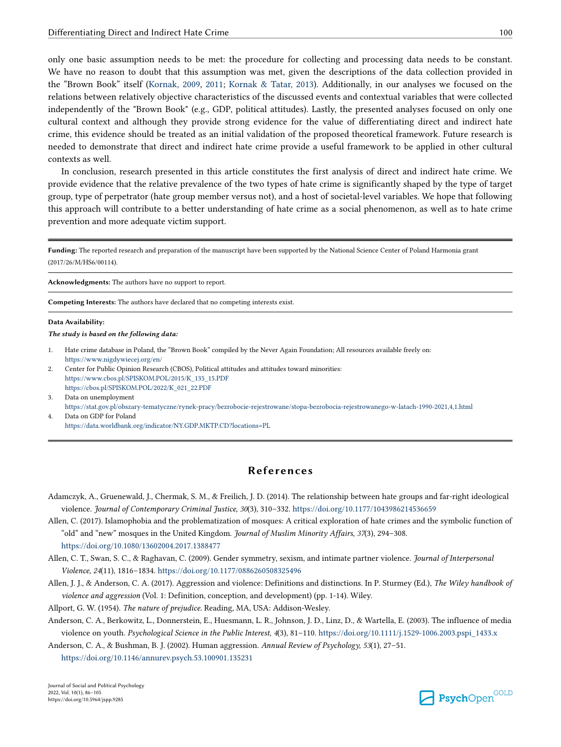<span id="page-14-0"></span>only one basic assumption needs to be met: the procedure for collecting and processing data needs to be constant. We have no reason to doubt that this assumption was met, given the descriptions of the data collection provided in the "Brown Book" itself ([Kornak, 2009,](#page-17-0) [2011](#page-17-0); [Kornak & Tatar, 2013](#page-17-0)). Additionally, in our analyses we focused on the relations between relatively objective characteristics of the discussed events and contextual variables that were collected independently of the "Brown Book" (e.g., GDP, political attitudes). Lastly, the presented analyses focused on only one cultural context and although they provide strong evidence for the value of differentiating direct and indirect hate crime, this evidence should be treated as an initial validation of the proposed theoretical framework. Future research is needed to demonstrate that direct and indirect hate crime provide a useful framework to be applied in other cultural contexts as well.

In conclusion, research presented in this article constitutes the first analysis of direct and indirect hate crime. We provide evidence that the relative prevalence of the two types of hate crime is significantly shaped by the type of target group, type of perpetrator (hate group member versus not), and a host of societal-level variables. We hope that following this approach will contribute to a better understanding of hate crime as a social phenomenon, as well as to hate crime prevention and more adequate victim support.

**Funding:** The reported research and preparation of the manuscript have been supported by the National Science Center of Poland Harmonia grant (2017/26/M/HS6/00114).

**Acknowledgments:** The authors have no support to report.

**Competing Interests:** The authors have declared that no competing interests exist.

#### **Data Availability:**

*The study is based on the following data:*

- 1. Hate crime database in Poland, the "Brown Book" compiled by the Never Again Foundation; All resources available freely on: <https://www.nigdywiecej.org/en/>
- 2. Center for Public Opinion Research (CBOS), Political attitudes and attitudes toward minorities: [https://www.cbos.pl/SPISKOM.POL/2015/K\\_135\\_15.PDF](https://www.cbos.pl/SPISKOM.POL/2015/K_135_15.PDF) [https://cbos.pl/SPISKOM.POL/2022/K\\_021\\_22.PDF](https://cbos.pl/SPISKOM.POL/2022/K_021_22.PDF)
- Data on unemployment
- <https://stat.gov.pl/obszary-tematyczne/rynek-pracy/bezrobocie-rejestrowane/stopa-bezrobocia-rejestrowanego-w-latach-1990-2021,4,1.html> 4. Data on GDP for Poland

<https://data.worldbank.org/indicator/NY.GDP.MKTP.CD?locations=PL>

## **References**

- Adamczyk, A., Gruenewald, J., Chermak, S. M., & Freilich, J. D. (2014). The relationship between hate groups and far-right ideological violence. *Journal of Contemporary Criminal Justice, 30*(3), 310–332. <https://doi.org/10.1177/1043986214536659>
- Allen, C. (2017). Islamophobia and the problematization of mosques: A critical exploration of hate crimes and the symbolic function of "old" and "new" mosques in the United Kingdom. *Journal of Muslim Minority Affairs, 37*(3), 294–308.

<https://doi.org/10.1080/13602004.2017.1388477>

- Allen, C. T., Swan, S. C., & Raghavan, C. (2009). Gender symmetry, sexism, and intimate partner violence. *Journal of Interpersonal Violence, 24*(11), 1816–1834. <https://doi.org/10.1177/0886260508325496>
- Allen, J. J., & Anderson, C. A. (2017). Aggression and violence: Definitions and distinctions. In P. Sturmey (Ed.), *The Wiley handbook of violence and aggression* (Vol. 1: Definition, conception, and development) (pp. 1-14). Wiley.
- Allport, G. W. (1954). *The nature of prejudice*. Reading, MA, USA: Addison-Wesley.
- Anderson, C. A., Berkowitz, L., Donnerstein, E., Huesmann, L. R., Johnson, J. D., Linz, D., & Wartella, E. (2003). The influence of media violence on youth. *Psychological Science in the Public Interest, 4*(3), 81–110. [https://doi.org/10.1111/j.1529-1006.2003.pspi\\_1433.x](https://doi.org/10.1111/j.1529-1006.2003.pspi_1433.x)
- Anderson, C. A., & Bushman, B. J. (2002). Human aggression. *Annual Review of Psychology, 53*(1), 27–51.

<https://doi.org/10.1146/annurev.psych.53.100901.135231>

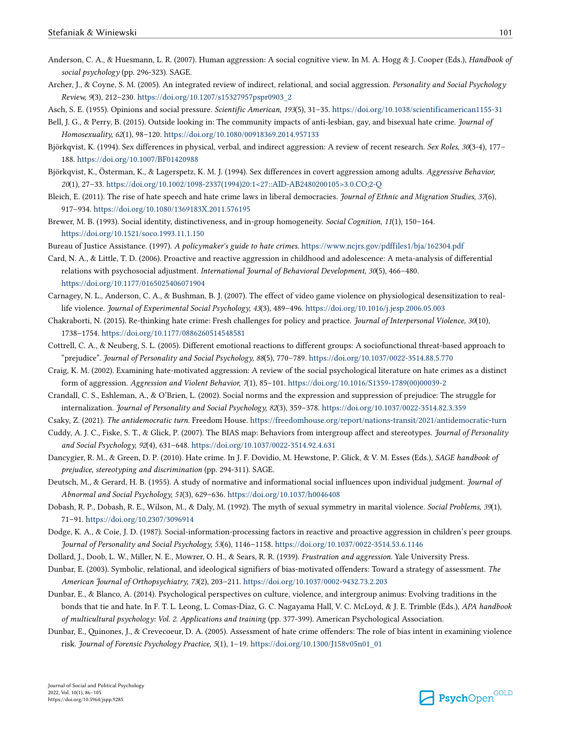- <span id="page-15-0"></span>Anderson, C. A., & Huesmann, L. R. (2007). Human aggression: A social cognitive view. In M. A. Hogg & J. Cooper (Eds.), *Handbook of social psychology* (pp. 296-323). SAGE.
- Archer, J., & Coyne, S. M. (2005). An integrated review of indirect, relational, and social aggression. *Personality and Social Psychology Review, 9*(3), 212–230. [https://doi.org/10.1207/s15327957pspr0903\\_2](https://doi.org/10.1207/s15327957pspr0903_2)
- Asch, S. E. (1955). Opinions and social pressure. *Scientific American, 193*(5), 31–35. <https://doi.org/10.1038/scientificamerican1155-31>
- Bell, J. G., & Perry, B. (2015). Outside looking in: The community impacts of anti-lesbian, gay, and bisexual hate crime. *Journal of Homosexuality, 62*(1), 98–120.<https://doi.org/10.1080/00918369.2014.957133>
- Björkqvist, K. (1994). Sex differences in physical, verbal, and indirect aggression: A review of recent research. *Sex Roles, 30*(3-4), 177– 188. <https://doi.org/10.1007/BF01420988>
- Björkqvist, K., Österman, K., & Lagerspetz, K. M. J. (1994). Sex differences in covert aggression among adults. *Aggressive Behavior, 20*(1), 27–33. [https://doi.org/10.1002/1098-2337\(1994\)20:1<27::AID-AB2480200105>3.0.CO;2-Q](https://doi.org/10.1002/1098-2337(1994)20:1<27::AID-AB2480200105>3.0.CO;2-Q)
- Bleich, E. (2011). The rise of hate speech and hate crime laws in liberal democracies. *Journal of Ethnic and Migration Studies, 37*(6), 917–934.<https://doi.org/10.1080/1369183X.2011.576195>
- Brewer, M. B. (1993). Social identity, distinctiveness, and in-group homogeneity. *Social Cognition, 11*(1), 150–164. <https://doi.org/10.1521/soco.1993.11.1.150>
- Bureau of Justice Assistance. (1997). *A policymaker's guide to hate crimes*.<https://www.ncjrs.gov/pdffiles1/bja/162304.pdf>
- Card, N. A., & Little, T. D. (2006). Proactive and reactive aggression in childhood and adolescence: A meta-analysis of differential relations with psychosocial adjustment. *International Journal of Behavioral Development, 30*(5), 466–480. <https://doi.org/10.1177/0165025406071904>
- Carnagey, N. L., Anderson, C. A., & Bushman, B. J. (2007). The effect of video game violence on physiological desensitization to reallife violence. *Journal of Experimental Social Psychology, 43*(3), 489–496. <https://doi.org/10.1016/j.jesp.2006.05.003>
- Chakraborti, N. (2015). Re-thinking hate crime: Fresh challenges for policy and practice. *Journal of Interpersonal Violence, 30*(10), 1738–1754. <https://doi.org/10.1177/0886260514548581>
- Cottrell, C. A., & Neuberg, S. L. (2005). Different emotional reactions to different groups: A sociofunctional threat-based approach to "prejudice". *Journal of Personality and Social Psychology, 88*(5), 770–789.<https://doi.org/10.1037/0022-3514.88.5.770>
- Craig, K. M. (2002). Examining hate-motivated aggression: A review of the social psychological literature on hate crimes as a distinct form of aggression. *Aggression and Violent Behavior, 7*(1), 85–101. [https://doi.org/10.1016/S1359-1789\(00\)00039-2](https://doi.org/10.1016/S1359-1789(00)00039-2)
- Crandall, C. S., Eshleman, A., & O'Brien, L. (2002). Social norms and the expression and suppression of prejudice: The struggle for internalization. *Journal of Personality and Social Psychology, 82*(3), 359–378. <https://doi.org/10.1037/0022-3514.82.3.359>
- Csaky, Z. (2021). *The antidemocratic turn.* Freedom House. <https://freedomhouse.org/report/nations-transit/2021/antidemocratic-turn>
- Cuddy, A. J. C., Fiske, S. T., & Glick, P. (2007). The BIAS map: Behaviors from intergroup affect and stereotypes. *Journal of Personality and Social Psychology, 92*(4), 631–648.<https://doi.org/10.1037/0022-3514.92.4.631>
- Dancygier, R. M., & Green, D. P. (2010). Hate crime. In J. F. Dovidio, M. Hewstone, P. Glick, & V. M. Esses (Eds.), *SAGE handbook of prejudice, stereotyping and discrimination* (pp. 294-311). SAGE.
- Deutsch, M., & Gerard, H. B. (1955). A study of normative and informational social influences upon individual judgment. *Journal of Abnormal and Social Psychology, 51*(3), 629–636. <https://doi.org/10.1037/h0046408>
- Dobash, R. P., Dobash, R. E., Wilson, M., & Daly, M. (1992). The myth of sexual symmetry in marital violence. *Social Problems, 39*(1), 71–91.<https://doi.org/10.2307/3096914>
- Dodge, K. A., & Coie, J. D. (1987). Social-information-processing factors in reactive and proactive aggression in children's peer groups. *Journal of Personality and Social Psychology, 53*(6), 1146–1158.<https://doi.org/10.1037/0022-3514.53.6.1146>
- Dollard, J., Doob, L. W., Miller, N. E., Mowrer, O. H., & Sears, R. R. (1939). *Frustration and aggression*. Yale University Press.
- Dunbar, E. (2003). Symbolic, relational, and ideological signifiers of bias-motivated offenders: Toward a strategy of assessment. *The American Journal of Orthopsychiatry, 73*(2), 203–211.<https://doi.org/10.1037/0002-9432.73.2.203>
- Dunbar, E., & Blanco, A. (2014). Psychological perspectives on culture, violence, and intergroup animus: Evolving traditions in the bonds that tie and hate. In F. T. L. Leong, L. Comas-Díaz, G. C. Nagayama Hall, V. C. McLoyd, & J. E. Trimble (Eds.), *APA handbook of multicultural psychology: Vol. 2. Applications and training* (pp. 377-399). American Psychological Association.
- Dunbar, E., Quinones, J., & Crevecoeur, D. A. (2005). Assessment of hate crime offenders: The role of bias intent in examining violence risk. *Journal of Forensic Psychology Practice, 5*(1), 1–19. [https://doi.org/10.1300/J158v05n01\\_01](https://doi.org/10.1300/J158v05n01_01)

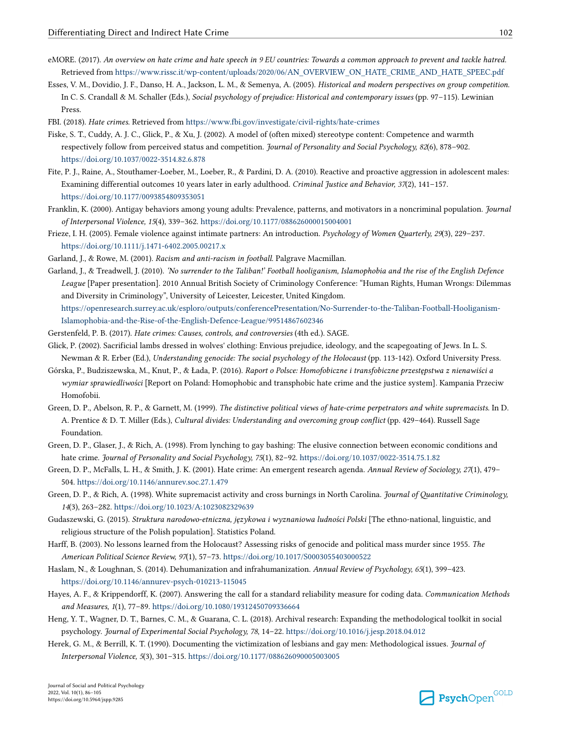- <span id="page-16-0"></span>eMORE. (2017). *An overview on hate crime and hate speech in 9 EU countries: Towards a common approach to prevent and tackle hatred.*  Retrieved from [https://www.rissc.it/wp-content/uploads/2020/06/AN\\_OVERVIEW\\_ON\\_HATE\\_CRIME\\_AND\\_HATE\\_SPEEC.pdf](https://www.rissc.it/wp-content/uploads/2020/06/AN_OVERVIEW_ON_HATE_CRIME_AND_HATE_SPEEC.pdf)
- Esses, V. M., Dovidio, J. F., Danso, H. A., Jackson, L. M., & Semenya, A. (2005). *Historical and modern perspectives on group competition*. In C. S. Crandall & M. Schaller (Eds.), *Social psychology of prejudice: Historical and contemporary issues* (pp. 97–115). Lewinian Press.
- FBI. (2018). *Hate crimes*. Retrieved from<https://www.fbi.gov/investigate/civil-rights/hate-crimes>
- Fiske, S. T., Cuddy, A. J. C., Glick, P., & Xu, J. (2002). A model of (often mixed) stereotype content: Competence and warmth respectively follow from perceived status and competition. *Journal of Personality and Social Psychology, 82*(6), 878–902. <https://doi.org/10.1037/0022-3514.82.6.878>
- Fite, P. J., Raine, A., Stouthamer-Loeber, M., Loeber, R., & Pardini, D. A. (2010). Reactive and proactive aggression in adolescent males: Examining differential outcomes 10 years later in early adulthood. *Criminal Justice and Behavior, 37*(2), 141–157. <https://doi.org/10.1177/0093854809353051>
- Franklin, K. (2000). Antigay behaviors among young adults: Prevalence, patterns, and motivators in a noncriminal population. *Journal of Interpersonal Violence, 15*(4), 339–362.<https://doi.org/10.1177/088626000015004001>
- Frieze, I. H. (2005). Female violence against intimate partners: An introduction. *Psychology of Women Quarterly, 29*(3), 229–237. <https://doi.org/10.1111/j.1471-6402.2005.00217.x>

Garland, J., & Rowe, M. (2001). *Racism and anti-racism in football*. Palgrave Macmillan.

Garland, J., & Treadwell, J. (2010). *'No surrender to the Taliban!' Football hooliganism, Islamophobia and the rise of the English Defence League* [Paper presentation]. 2010 Annual British Society of Criminology Conference: "Human Rights, Human Wrongs: Dilemmas and Diversity in Criminology", University of Leicester, Leicester, United Kingdom. [https://openresearch.surrey.ac.uk/esploro/outputs/conferencePresentation/No-Surrender-to-the-Taliban-Football-Hooliganism-](https://openresearch.surrey.ac.uk/esploro/outputs/conferencePresentation/No-Surrender-to-the-Taliban-Football-Hooliganism-Islamophobia-and-the-Rise-of-the-English-Defence-League/99514867602346)

[Islamophobia-and-the-Rise-of-the-English-Defence-League/99514867602346](https://openresearch.surrey.ac.uk/esploro/outputs/conferencePresentation/No-Surrender-to-the-Taliban-Football-Hooliganism-Islamophobia-and-the-Rise-of-the-English-Defence-League/99514867602346)

- Gerstenfeld, P. B. (2017). *Hate crimes: Causes, controls, and controversies* (4th ed.). SAGE.
- Glick, P. (2002). Sacrificial lambs dressed in wolves' clothing: Envious prejudice, ideology, and the scapegoating of Jews. In L. S. Newman & R. Erber (Ed.), *Understanding genocide: The social psychology of the Holocaust* (pp. 113-142). Oxford University Press.
- Górska, P., Budziszewska, M., Knut, P., & Łada, P. (2016). *Raport o Polsce: Homofobiczne i transfobiczne przestępstwa z nienawiści a wymiar sprawiedliwości* [Report on Poland: Homophobic and transphobic hate crime and the justice system]. Kampania Przeciw Homofobii.
- Green, D. P., Abelson, R. P., & Garnett, M. (1999). *The distinctive political views of hate-crime perpetrators and white supremacists*. In D. A. Prentice & D. T. Miller (Eds.), *Cultural divides: Understanding and overcoming group conflict* (pp. 429–464). Russell Sage Foundation.
- Green, D. P., Glaser, J., & Rich, A. (1998). From lynching to gay bashing: The elusive connection between economic conditions and hate crime. *Journal of Personality and Social Psychology, 75*(1), 82–92.<https://doi.org/10.1037/0022-3514.75.1.82>
- Green, D. P., McFalls, L. H., & Smith, J. K. (2001). Hate crime: An emergent research agenda. *Annual Review of Sociology, 27*(1), 479– 504. <https://doi.org/10.1146/annurev.soc.27.1.479>
- Green, D. P., & Rich, A. (1998). White supremacist activity and cross burnings in North Carolina. *Journal of Quantitative Criminology, 14*(3), 263–282.<https://doi.org/10.1023/A:1023082329639>
- Gudaszewski, G. (2015). *Struktura narodowo-etniczna, językowa i wyznaniowa ludności Polski* [The ethno-national, linguistic, and religious structure of the Polish population]. Statistics Poland.
- Harff, B. (2003). No lessons learned from the Holocaust? Assessing risks of genocide and political mass murder since 1955. *The American Political Science Review, 97*(1), 57–73.<https://doi.org/10.1017/S0003055403000522>
- Haslam, N., & Loughnan, S. (2014). Dehumanization and infrahumanization. *Annual Review of Psychology, 65*(1), 399–423. <https://doi.org/10.1146/annurev-psych-010213-115045>
- Hayes, A. F., & Krippendorff, K. (2007). Answering the call for a standard reliability measure for coding data. *Communication Methods and Measures, 1*(1), 77–89. <https://doi.org/10.1080/19312450709336664>
- Heng, Y. T., Wagner, D. T., Barnes, C. M., & Guarana, C. L. (2018). Archival research: Expanding the methodological toolkit in social psychology. *Journal of Experimental Social Psychology, 78*, 14–22. <https://doi.org/10.1016/j.jesp.2018.04.012>
- Herek, G. M., & Berrill, K. T. (1990). Documenting the victimization of lesbians and gay men: Methodological issues. *Journal of Interpersonal Violence, 5*(3), 301–315. <https://doi.org/10.1177/088626090005003005>

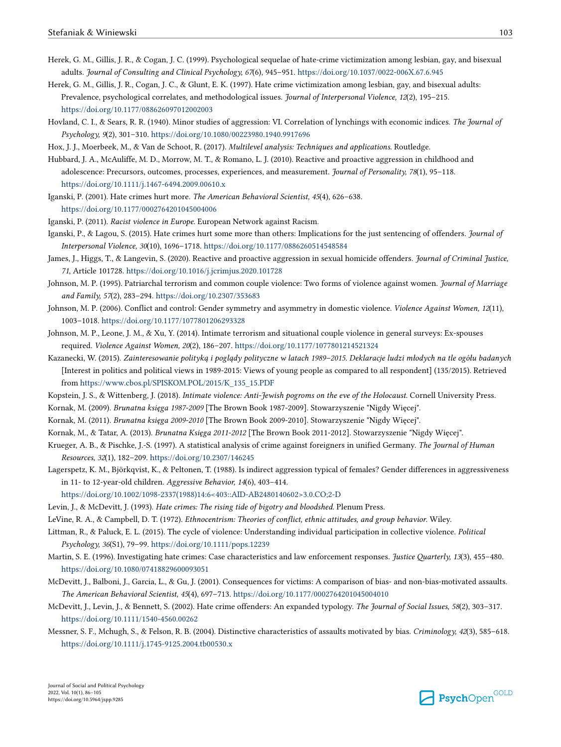- <span id="page-17-0"></span>Herek, G. M., Gillis, J. R., & Cogan, J. C. (1999). Psychological sequelae of hate-crime victimization among lesbian, gay, and bisexual adults. *Journal of Consulting and Clinical Psychology, 67*(6), 945–951.<https://doi.org/10.1037/0022-006X.67.6.945>
- Herek, G. M., Gillis, J. R., Cogan, J. C., & Glunt, E. K. (1997). Hate crime victimization among lesbian, gay, and bisexual adults: Prevalence, psychological correlates, and methodological issues. *Journal of Interpersonal Violence, 12*(2), 195–215. <https://doi.org/10.1177/088626097012002003>
- Hovland, C. I., & Sears, R. R. (1940). Minor studies of aggression: VI. Correlation of lynchings with economic indices. *The Journal of Psychology, 9*(2), 301–310.<https://doi.org/10.1080/00223980.1940.9917696>

Hox, J. J., Moerbeek, M., & Van de Schoot, R. (2017). *Multilevel analysis: Techniques and applications*. Routledge.

- Hubbard, J. A., McAuliffe, M. D., Morrow, M. T., & Romano, L. J. (2010). Reactive and proactive aggression in childhood and adolescence: Precursors, outcomes, processes, experiences, and measurement. *Journal of Personality, 78*(1), 95–118. <https://doi.org/10.1111/j.1467-6494.2009.00610.x>
- Iganski, P. (2001). Hate crimes hurt more. *The American Behavioral Scientist, 45*(4), 626–638. <https://doi.org/10.1177/0002764201045004006>
- Iganski, P. (2011). *Racist violence in Europe.* European Network against Racism.
- Iganski, P., & Lagou, S. (2015). Hate crimes hurt some more than others: Implications for the just sentencing of offenders. *Journal of Interpersonal Violence, 30*(10), 1696–1718. <https://doi.org/10.1177/0886260514548584>
- James, J., Higgs, T., & Langevin, S. (2020). Reactive and proactive aggression in sexual homicide offenders. *Journal of Criminal Justice, 71*, Article 101728.<https://doi.org/10.1016/j.jcrimjus.2020.101728>
- Johnson, M. P. (1995). Patriarchal terrorism and common couple violence: Two forms of violence against women. *Journal of Marriage and Family, 57*(2), 283–294. <https://doi.org/10.2307/353683>
- Johnson, M. P. (2006). Conflict and control: Gender symmetry and asymmetry in domestic violence. *Violence Against Women, 12*(11), 1003–1018. <https://doi.org/10.1177/1077801206293328>
- Johnson, M. P., Leone, J. M., & Xu, Y. (2014). Intimate terrorism and situational couple violence in general surveys: Ex-spouses required. *Violence Against Women, 20*(2), 186–207.<https://doi.org/10.1177/1077801214521324>
- Kazanecki, W. (2015). *Zainteresowanie polityką i poglądy polityczne w latach 1989–2015. Deklaracje ludzi młodych na tle ogółu badanych*  [Interest in politics and political views in 1989-2015: Views of young people as compared to all respondent] (135/2015). Retrieved from [https://www.cbos.pl/SPISKOM.POL/2015/K\\_135\\_15.PDF](https://www.cbos.pl/SPISKOM.POL/2015/K_135_15.PDF)
- Kopstein, J. S., & Wittenberg, J. (2018). *Intimate violence: Anti-Jewish pogroms on the eve of the Holocaust*. Cornell University Press.
- Kornak, M. (2009). *Brunatna księga 1987-2009* [The Brown Book 1987-2009]. Stowarzyszenie "Nigdy Więcej".
- Kornak, M. (2011). *Brunatna księga 2009-2010* [The Brown Book 2009-2010]. Stowarzyszenie "Nigdy Więcej".
- Kornak, M., & Tatar, A. (2013). *Brunatna Księga 2011-2012* [The Brown Book 2011-2012]. Stowarzyszenie "Nigdy Więcej".
- Krueger, A. B., & Pischke, J.-S. (1997). A statistical analysis of crime against foreigners in unified Germany. *The Journal of Human Resources, 32*(1), 182–209.<https://doi.org/10.2307/146245>
- Lagerspetz, K. M., Björkqvist, K., & Peltonen, T. (1988). Is indirect aggression typical of females? Gender differences in aggressiveness in 11- to 12-year-old children. *Aggressive Behavior, 14*(6), 403–414.
- [https://doi.org/10.1002/1098-2337\(1988\)14:6<403::AID-AB2480140602>3.0.CO;2-D](https://doi.org/10.1002/1098-2337(1988)14:6<403::AID-AB2480140602>3.0.CO;2-D)
- Levin, J., & McDevitt, J. (1993). *Hate crimes: The rising tide of bigotry and bloodshed.* Plenum Press.
- LeVine, R. A., & Campbell, D. T. (1972). *Ethnocentrism: Theories of conflict, ethnic attitudes, and group behavior*. Wiley.
- Littman, R., & Paluck, E. L. (2015). The cycle of violence: Understanding individual participation in collective violence. *Political Psychology, 36*(S1), 79–99.<https://doi.org/10.1111/pops.12239>
- Martin, S. E. (1996). Investigating hate crimes: Case characteristics and law enforcement responses. *Justice Quarterly, 13*(3), 455–480. <https://doi.org/10.1080/07418829600093051>
- McDevitt, J., Balboni, J., Garcia, L., & Gu, J. (2001). Consequences for victims: A comparison of bias- and non-bias-motivated assaults. *The American Behavioral Scientist, 45*(4), 697–713. <https://doi.org/10.1177/0002764201045004010>
- McDevitt, J., Levin, J., & Bennett, S. (2002). Hate crime offenders: An expanded typology. *The Journal of Social Issues, 58*(2), 303–317. <https://doi.org/10.1111/1540-4560.00262>
- Messner, S. F., Mchugh, S., & Felson, R. B. (2004). Distinctive characteristics of assaults motivated by bias. *Criminology, 42*(3), 585–618. <https://doi.org/10.1111/j.1745-9125.2004.tb00530.x>

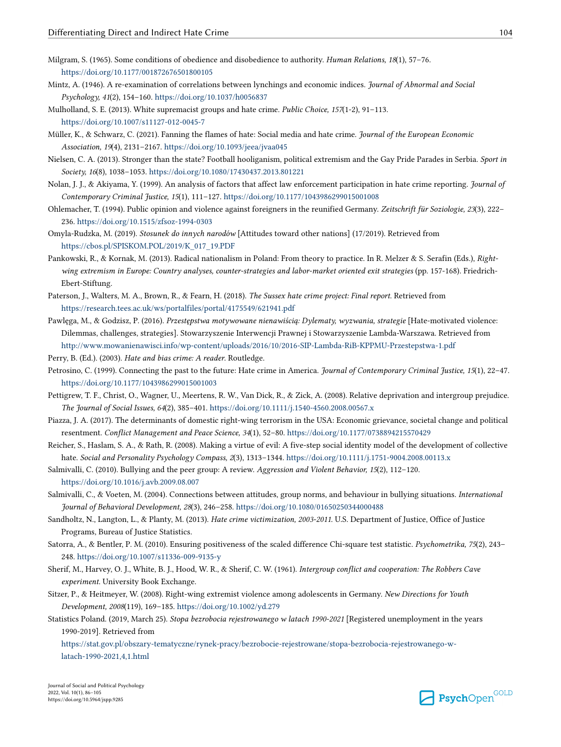- <span id="page-18-0"></span>Milgram, S. (1965). Some conditions of obedience and disobedience to authority. *Human Relations, 18*(1), 57–76. <https://doi.org/10.1177/001872676501800105>
- Mintz, A. (1946). A re-examination of correlations between lynchings and economic indices. *Journal of Abnormal and Social Psychology, 41*(2), 154–160.<https://doi.org/10.1037/h0056837>
- Mulholland, S. E. (2013). White supremacist groups and hate crime. *Public Choice, 157*(1-2), 91–113.

<https://doi.org/10.1007/s11127-012-0045-7>

- Müller, K., & Schwarz, C. (2021). Fanning the flames of hate: Social media and hate crime. *Journal of the European Economic Association, 19*(4), 2131–2167.<https://doi.org/10.1093/jeea/jvaa045>
- Nielsen, C. A. (2013). Stronger than the state? Football hooliganism, political extremism and the Gay Pride Parades in Serbia. *Sport in Society, 16*(8), 1038–1053.<https://doi.org/10.1080/17430437.2013.801221>
- Nolan, J. J., & Akiyama, Y. (1999). An analysis of factors that affect law enforcement participation in hate crime reporting. *Journal of Contemporary Criminal Justice, 15*(1), 111–127. <https://doi.org/10.1177/1043986299015001008>
- Ohlemacher, T. (1994). Public opinion and violence against foreigners in the reunified Germany. *Zeitschrift für Soziologie, 23*(3), 222– 236. <https://doi.org/10.1515/zfsoz-1994-0303>
- Omyla-Rudzka, M. (2019). *Stosunek do innych narodów* [Attitudes toward other nations] (17/2019). Retrieved from [https://cbos.pl/SPISKOM.POL/2019/K\\_017\\_19.PDF](https://cbos.pl/SPISKOM.POL/2019/K_017_19.PDF)
- Pankowski, R., & Kornak, M. (2013). Radical nationalism in Poland: From theory to practice. In R. Melzer & S. Serafin (Eds.), *Rightwing extremism in Europe: Country analyses, counter-strategies and labor-market oriented exit strategies* (pp. 157-168). Friedrich-Ebert-Stiftung.
- Paterson, J., Walters, M. A., Brown, R., & Fearn, H. (2018). *The Sussex hate crime project: Final report*. Retrieved from <https://research.tees.ac.uk/ws/portalfiles/portal/4175549/621941.pdf>
- Pawlęga, M., & Godzisz, P. (2016). *Przestępstwa motywowane nienawiścią: Dylematy, wyzwania, strategie* [Hate-motivated violence: Dilemmas, challenges, strategies]. Stowarzyszenie Interwencji Prawnej i Stowarzyszenie Lambda-Warszawa. Retrieved from <http://www.mowanienawisci.info/wp-content/uploads/2016/10/2016-SIP-Lambda-RiB-KPPMU-Przestepstwa-1.pdf>

Perry, B. (Ed.). (2003). *Hate and bias crime: A reader*. Routledge.

- Petrosino, C. (1999). Connecting the past to the future: Hate crime in America. *Journal of Contemporary Criminal Justice, 15*(1), 22–47. <https://doi.org/10.1177/1043986299015001003>
- Pettigrew, T. F., Christ, O., Wagner, U., Meertens, R. W., Van Dick, R., & Zick, A. (2008). Relative deprivation and intergroup prejudice. *The Journal of Social Issues, 64*(2), 385–401. <https://doi.org/10.1111/j.1540-4560.2008.00567.x>
- Piazza, J. A. (2017). The determinants of domestic right-wing terrorism in the USA: Economic grievance, societal change and political resentment. *Conflict Management and Peace Science, 34*(1), 52–80.<https://doi.org/10.1177/0738894215570429>
- Reicher, S., Haslam, S. A., & Rath, R. (2008). Making a virtue of evil: A five-step social identity model of the development of collective hate. *Social and Personality Psychology Compass, 2*(3), 1313–1344.<https://doi.org/10.1111/j.1751-9004.2008.00113.x>
- Salmivalli, C. (2010). Bullying and the peer group: A review. *Aggression and Violent Behavior, 15*(2), 112–120. <https://doi.org/10.1016/j.avb.2009.08.007>
- Salmivalli, C., & Voeten, M. (2004). Connections between attitudes, group norms, and behaviour in bullying situations. *International Journal of Behavioral Development, 28*(3), 246–258. <https://doi.org/10.1080/01650250344000488>
- Sandholtz, N., Langton, L., & Planty, M. (2013). *Hate crime victimization, 2003-2011*. U.S. Department of Justice, Office of Justice Programs, Bureau of Justice Statistics.
- Satorra, A., & Bentler, P. M. (2010). Ensuring positiveness of the scaled difference Chi-square test statistic. *Psychometrika, 75*(2), 243– 248. <https://doi.org/10.1007/s11336-009-9135-y>
- Sherif, M., Harvey, O. J., White, B. J., Hood, W. R., & Sherif, C. W. (1961). *Intergroup conflict and cooperation: The Robbers Cave experiment*. University Book Exchange.
- Sitzer, P., & Heitmeyer, W. (2008). Right-wing extremist violence among adolescents in Germany. *New Directions for Youth Development, 2008*(119), 169–185.<https://doi.org/10.1002/yd.279>
- Statistics Poland. (2019, March 25). *Stopa bezrobocia rejestrowanego w latach 1990-2021* [Registered unemployment in the years 1990-2019]. Retrieved from

[https://stat.gov.pl/obszary-tematyczne/rynek-pracy/bezrobocie-rejestrowane/stopa-bezrobocia-rejestrowanego-w](https://stat.gov.pl/obszary-tematyczne/rynek-pracy/bezrobocie-rejestrowane/stopa-bezrobocia-rejestrowanego-w-latach-1990-2021,4,1.html)[latach-1990-2021,4,1.html](https://stat.gov.pl/obszary-tematyczne/rynek-pracy/bezrobocie-rejestrowane/stopa-bezrobocia-rejestrowanego-w-latach-1990-2021,4,1.html)